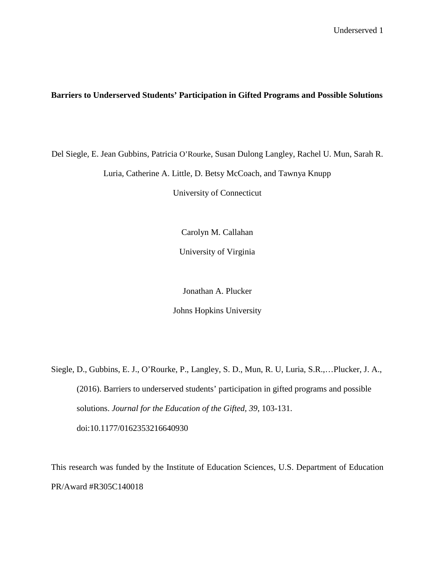# **Barriers to Underserved Students' Participation in Gifted Programs and Possible Solutions**

Del Siegle, E. Jean Gubbins, Patricia O'Rourke, Susan Dulong Langley, Rachel U. Mun, Sarah R. Luria, Catherine A. Little, D. Betsy McCoach, and Tawnya Knupp

University of Connecticut

Carolyn M. Callahan

University of Virginia

Jonathan A. Plucker

Johns Hopkins University

Siegle, D., Gubbins, E. J., O'Rourke, P., Langley, S. D., Mun, R. U, Luria, S.R.,…Plucker, J. A., (2016). Barriers to underserved students' participation in gifted programs and possible solutions. *Journal for the Education of the Gifted, 39*, 103-131. doi:10.1177/0162353216640930

This research was funded by the Institute of Education Sciences, U.S. Department of Education PR/Award #R305C140018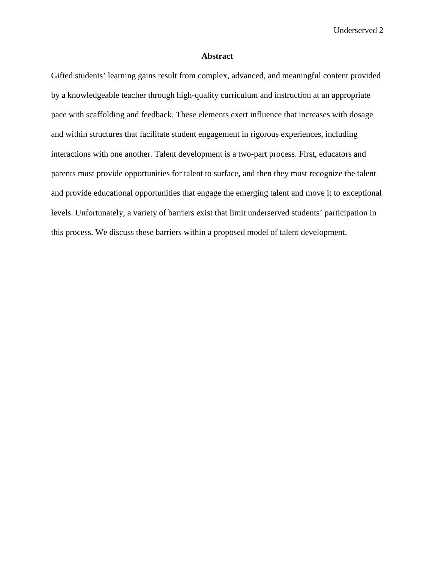### **Abstract**

Gifted students' learning gains result from complex, advanced, and meaningful content provided by a knowledgeable teacher through high-quality curriculum and instruction at an appropriate pace with scaffolding and feedback. These elements exert influence that increases with dosage and within structures that facilitate student engagement in rigorous experiences, including interactions with one another. Talent development is a two-part process. First, educators and parents must provide opportunities for talent to surface, and then they must recognize the talent and provide educational opportunities that engage the emerging talent and move it to exceptional levels. Unfortunately, a variety of barriers exist that limit underserved students' participation in this process. We discuss these barriers within a proposed model of talent development.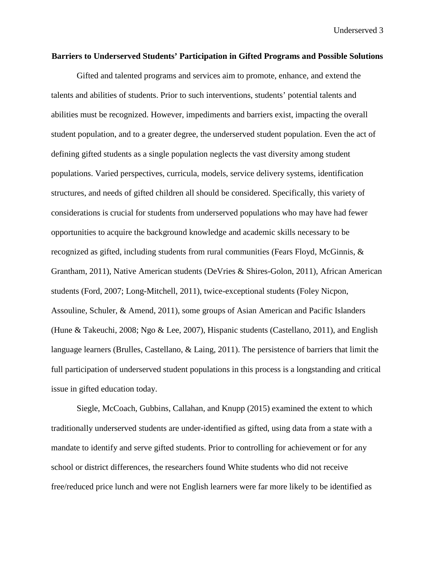#### **Barriers to Underserved Students' Participation in Gifted Programs and Possible Solutions**

Gifted and talented programs and services aim to promote, enhance, and extend the talents and abilities of students. Prior to such interventions, students' potential talents and abilities must be recognized. However, impediments and barriers exist, impacting the overall student population, and to a greater degree, the underserved student population. Even the act of defining gifted students as a single population neglects the vast diversity among student populations. Varied perspectives, curricula, models, service delivery systems, identification structures, and needs of gifted children all should be considered. Specifically, this variety of considerations is crucial for students from underserved populations who may have had fewer opportunities to acquire the background knowledge and academic skills necessary to be recognized as gifted, including students from rural communities (Fears Floyd, McGinnis, & Grantham, 2011), Native American students (DeVries & Shires-Golon, 2011), African American students (Ford, 2007; Long-Mitchell, 2011), twice-exceptional students (Foley Nicpon, Assouline, Schuler, & Amend, 2011), some groups of Asian American and Pacific Islanders (Hune & Takeuchi, 2008; Ngo & Lee, 2007), Hispanic students (Castellano, 2011), and English language learners (Brulles, Castellano, & Laing, 2011). The persistence of barriers that limit the full participation of underserved student populations in this process is a longstanding and critical issue in gifted education today.

Siegle, McCoach, Gubbins, Callahan, and Knupp (2015) examined the extent to which traditionally underserved students are under-identified as gifted, using data from a state with a mandate to identify and serve gifted students. Prior to controlling for achievement or for any school or district differences, the researchers found White students who did not receive free/reduced price lunch and were not English learners were far more likely to be identified as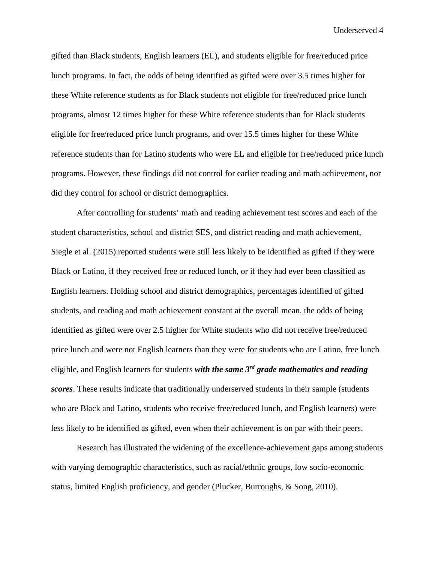gifted than Black students, English learners (EL), and students eligible for free/reduced price lunch programs. In fact, the odds of being identified as gifted were over 3.5 times higher for these White reference students as for Black students not eligible for free/reduced price lunch programs, almost 12 times higher for these White reference students than for Black students eligible for free/reduced price lunch programs, and over 15.5 times higher for these White reference students than for Latino students who were EL and eligible for free/reduced price lunch programs. However, these findings did not control for earlier reading and math achievement, nor did they control for school or district demographics.

After controlling for students' math and reading achievement test scores and each of the student characteristics, school and district SES, and district reading and math achievement, Siegle et al. (2015) reported students were still less likely to be identified as gifted if they were Black or Latino, if they received free or reduced lunch, or if they had ever been classified as English learners. Holding school and district demographics, percentages identified of gifted students, and reading and math achievement constant at the overall mean, the odds of being identified as gifted were over 2.5 higher for White students who did not receive free/reduced price lunch and were not English learners than they were for students who are Latino, free lunch eligible, and English learners for students *with the same 3rd grade mathematics and reading scores*. These results indicate that traditionally underserved students in their sample (students who are Black and Latino, students who receive free/reduced lunch, and English learners) were less likely to be identified as gifted, even when their achievement is on par with their peers.

Research has illustrated the widening of the excellence-achievement gaps among students with varying demographic characteristics, such as racial/ethnic groups, low socio-economic status, limited English proficiency, and gender (Plucker, Burroughs, & Song, 2010).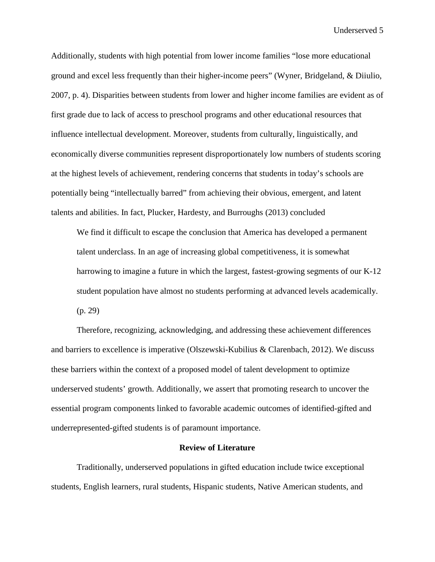Additionally, students with high potential from lower income families "lose more educational ground and excel less frequently than their higher-income peers" (Wyner, Bridgeland, & Diiulio, 2007, p. 4). Disparities between students from lower and higher income families are evident as of first grade due to lack of access to preschool programs and other educational resources that influence intellectual development. Moreover, students from culturally, linguistically, and economically diverse communities represent disproportionately low numbers of students scoring at the highest levels of achievement, rendering concerns that students in today's schools are potentially being "intellectually barred" from achieving their obvious, emergent, and latent talents and abilities. In fact, Plucker, Hardesty, and Burroughs (2013) concluded

We find it difficult to escape the conclusion that America has developed a permanent talent underclass. In an age of increasing global competitiveness, it is somewhat harrowing to imagine a future in which the largest, fastest-growing segments of our K-12 student population have almost no students performing at advanced levels academically. (p. 29)

Therefore, recognizing, acknowledging, and addressing these achievement differences and barriers to excellence is imperative (Olszewski-Kubilius & Clarenbach, 2012). We discuss these barriers within the context of a proposed model of talent development to optimize underserved students' growth. Additionally, we assert that promoting research to uncover the essential program components linked to favorable academic outcomes of identified-gifted and underrepresented-gifted students is of paramount importance.

### **Review of Literature**

Traditionally, underserved populations in gifted education include twice exceptional students, English learners, rural students, Hispanic students, Native American students, and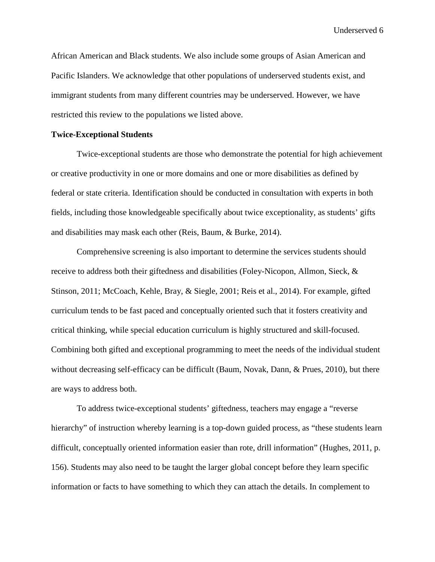African American and Black students. We also include some groups of Asian American and Pacific Islanders. We acknowledge that other populations of underserved students exist, and immigrant students from many different countries may be underserved. However, we have restricted this review to the populations we listed above.

## **Twice-Exceptional Students**

Twice-exceptional students are those who demonstrate the potential for high achievement or creative productivity in one or more domains and one or more disabilities as defined by federal or state criteria. Identification should be conducted in consultation with experts in both fields, including those knowledgeable specifically about twice exceptionality, as students' gifts and disabilities may mask each other (Reis, Baum, & Burke, 2014).

Comprehensive screening is also important to determine the services students should receive to address both their giftedness and disabilities (Foley-Nicopon, Allmon, Sieck, & Stinson, 2011; McCoach, Kehle, Bray, & Siegle, 2001; Reis et al., 2014). For example, gifted curriculum tends to be fast paced and conceptually oriented such that it fosters creativity and critical thinking, while special education curriculum is highly structured and skill-focused. Combining both gifted and exceptional programming to meet the needs of the individual student without decreasing self-efficacy can be difficult (Baum, Novak, Dann, & Prues, 2010), but there are ways to address both.

To address twice-exceptional students' giftedness, teachers may engage a "reverse hierarchy" of instruction whereby learning is a top-down guided process, as "these students learn difficult, conceptually oriented information easier than rote, drill information" (Hughes, 2011, p. 156). Students may also need to be taught the larger global concept before they learn specific information or facts to have something to which they can attach the details. In complement to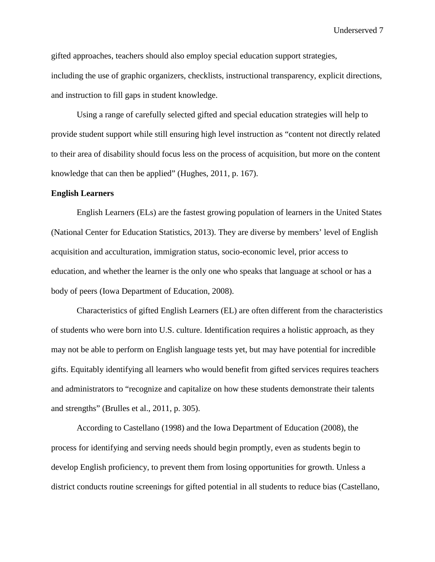gifted approaches, teachers should also employ special education support strategies, including the use of graphic organizers, checklists, instructional transparency, explicit directions, and instruction to fill gaps in student knowledge.

Using a range of carefully selected gifted and special education strategies will help to provide student support while still ensuring high level instruction as "content not directly related to their area of disability should focus less on the process of acquisition, but more on the content knowledge that can then be applied" (Hughes, 2011, p. 167).

#### **English Learners**

English Learners (ELs) are the fastest growing population of learners in the United States (National Center for Education Statistics, 2013). They are diverse by members' level of English acquisition and acculturation, immigration status, socio-economic level, prior access to education, and whether the learner is the only one who speaks that language at school or has a body of peers (Iowa Department of Education, 2008).

Characteristics of gifted English Learners (EL) are often different from the characteristics of students who were born into U.S. culture. Identification requires a holistic approach, as they may not be able to perform on English language tests yet, but may have potential for incredible gifts. Equitably identifying all learners who would benefit from gifted services requires teachers and administrators to "recognize and capitalize on how these students demonstrate their talents and strengths" (Brulles et al., 2011, p. 305).

According to Castellano (1998) and the Iowa Department of Education (2008), the process for identifying and serving needs should begin promptly, even as students begin to develop English proficiency, to prevent them from losing opportunities for growth. Unless a district conducts routine screenings for gifted potential in all students to reduce bias (Castellano,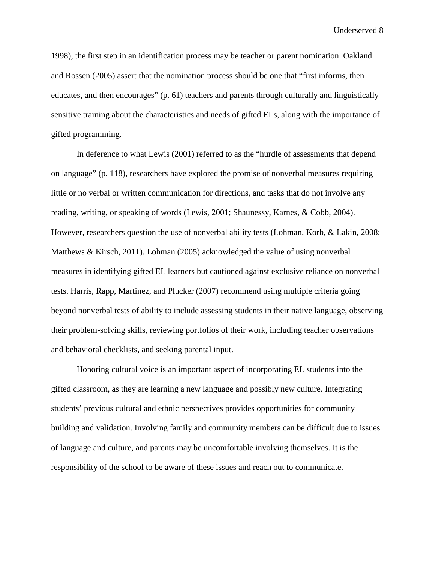1998), the first step in an identification process may be teacher or parent nomination. Oakland and Rossen (2005) assert that the nomination process should be one that "first informs, then educates, and then encourages" (p. 61) teachers and parents through culturally and linguistically sensitive training about the characteristics and needs of gifted ELs, along with the importance of gifted programming.

In deference to what Lewis (2001) referred to as the "hurdle of assessments that depend on language" (p. 118), researchers have explored the promise of nonverbal measures requiring little or no verbal or written communication for directions, and tasks that do not involve any reading, writing, or speaking of words (Lewis, 2001; Shaunessy, Karnes, & Cobb, 2004). However, researchers question the use of nonverbal ability tests (Lohman, Korb, & Lakin, 2008; Matthews & Kirsch, 2011). Lohman (2005) acknowledged the value of using nonverbal measures in identifying gifted EL learners but cautioned against exclusive reliance on nonverbal tests. Harris, Rapp, Martinez, and Plucker (2007) recommend using multiple criteria going beyond nonverbal tests of ability to include assessing students in their native language, observing their problem-solving skills, reviewing portfolios of their work, including teacher observations and behavioral checklists, and seeking parental input.

Honoring cultural voice is an important aspect of incorporating EL students into the gifted classroom, as they are learning a new language and possibly new culture. Integrating students' previous cultural and ethnic perspectives provides opportunities for community building and validation. Involving family and community members can be difficult due to issues of language and culture, and parents may be uncomfortable involving themselves. It is the responsibility of the school to be aware of these issues and reach out to communicate.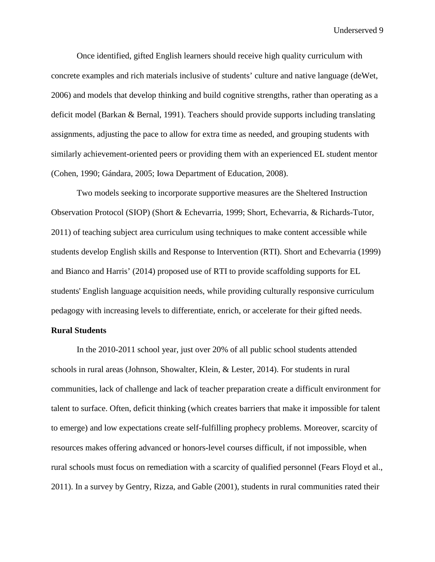Once identified, gifted English learners should receive high quality curriculum with concrete examples and rich materials inclusive of students' culture and native language (deWet, 2006) and models that develop thinking and build cognitive strengths, rather than operating as a deficit model (Barkan & Bernal, 1991). Teachers should provide supports including translating assignments, adjusting the pace to allow for extra time as needed, and grouping students with similarly achievement-oriented peers or providing them with an experienced EL student mentor (Cohen, 1990; Gándara, 2005; Iowa Department of Education, 2008).

Two models seeking to incorporate supportive measures are the Sheltered Instruction Observation Protocol (SIOP) (Short & Echevarria, 1999; Short, Echevarria, & Richards-Tutor, 2011) of teaching subject area curriculum using techniques to make content accessible while students develop English skills and Response to Intervention (RTI). Short and Echevarria (1999) and Bianco and Harris' (2014) proposed use of RTI to provide scaffolding supports for EL students' English language acquisition needs, while providing culturally responsive curriculum pedagogy with increasing levels to differentiate, enrich, or accelerate for their gifted needs.

#### **Rural Students**

In the 2010-2011 school year, just over 20% of all public school students attended schools in rural areas (Johnson, Showalter, Klein, & Lester, 2014). For students in rural communities, lack of challenge and lack of teacher preparation create a difficult environment for talent to surface. Often, deficit thinking (which creates barriers that make it impossible for talent to emerge) and low expectations create self-fulfilling prophecy problems. Moreover, scarcity of resources makes offering advanced or honors-level courses difficult, if not impossible, when rural schools must focus on remediation with a scarcity of qualified personnel (Fears Floyd et al., 2011). In a survey by Gentry, Rizza, and Gable (2001), students in rural communities rated their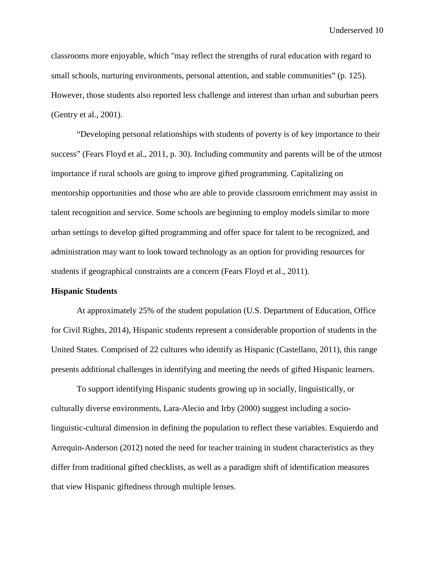classrooms more enjoyable, which "may reflect the strengths of rural education with regard to small schools, nurturing environments, personal attention, and stable communities" (p. 125). However, those students also reported less challenge and interest than urban and suburban peers (Gentry et al., 2001).

"Developing personal relationships with students of poverty is of key importance to their success" (Fears Floyd et al., 2011, p. 30). Including community and parents will be of the utmost importance if rural schools are going to improve gifted programming. Capitalizing on mentorship opportunities and those who are able to provide classroom enrichment may assist in talent recognition and service. Some schools are beginning to employ models similar to more urban settings to develop gifted programming and offer space for talent to be recognized, and administration may want to look toward technology as an option for providing resources for students if geographical constraints are a concern (Fears Floyd et al., 2011).

### **Hispanic Students**

At approximately 25% of the student population (U.S. Department of Education, Office for Civil Rights, 2014), Hispanic students represent a considerable proportion of students in the United States. Comprised of 22 cultures who identify as Hispanic (Castellano, 2011), this range presents additional challenges in identifying and meeting the needs of gifted Hispanic learners.

To support identifying Hispanic students growing up in socially, linguistically, or culturally diverse environments, Lara-Alecio and Irby (2000) suggest including a sociolinguistic-cultural dimension in defining the population to reflect these variables. Esquierdo and Arrequin-Anderson (2012) noted the need for teacher training in student characteristics as they differ from traditional gifted checklists, as well as a paradigm shift of identification measures that view Hispanic giftedness through multiple lenses.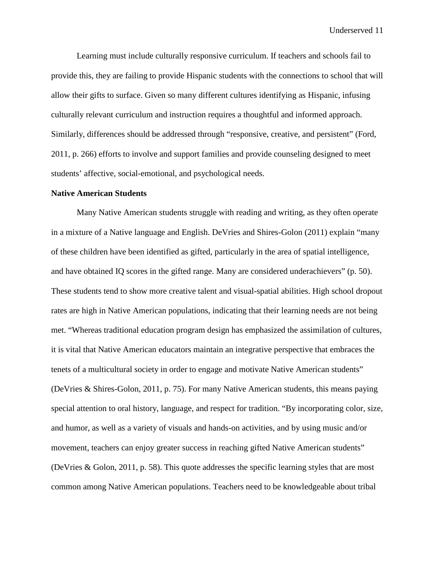Learning must include culturally responsive curriculum. If teachers and schools fail to provide this, they are failing to provide Hispanic students with the connections to school that will allow their gifts to surface. Given so many different cultures identifying as Hispanic, infusing culturally relevant curriculum and instruction requires a thoughtful and informed approach. Similarly, differences should be addressed through "responsive, creative, and persistent" (Ford, 2011, p. 266) efforts to involve and support families and provide counseling designed to meet students' affective, social-emotional, and psychological needs.

#### **Native American Students**

Many Native American students struggle with reading and writing, as they often operate in a mixture of a Native language and English. DeVries and Shires-Golon (2011) explain "many of these children have been identified as gifted, particularly in the area of spatial intelligence, and have obtained IQ scores in the gifted range. Many are considered underachievers" (p. 50). These students tend to show more creative talent and visual-spatial abilities. High school dropout rates are high in Native American populations, indicating that their learning needs are not being met. "Whereas traditional education program design has emphasized the assimilation of cultures, it is vital that Native American educators maintain an integrative perspective that embraces the tenets of a multicultural society in order to engage and motivate Native American students" (DeVries & Shires-Golon, 2011, p. 75). For many Native American students, this means paying special attention to oral history, language, and respect for tradition. "By incorporating color, size, and humor, as well as a variety of visuals and hands-on activities, and by using music and/or movement, teachers can enjoy greater success in reaching gifted Native American students" (DeVries & Golon, 2011, p. 58). This quote addresses the specific learning styles that are most common among Native American populations. Teachers need to be knowledgeable about tribal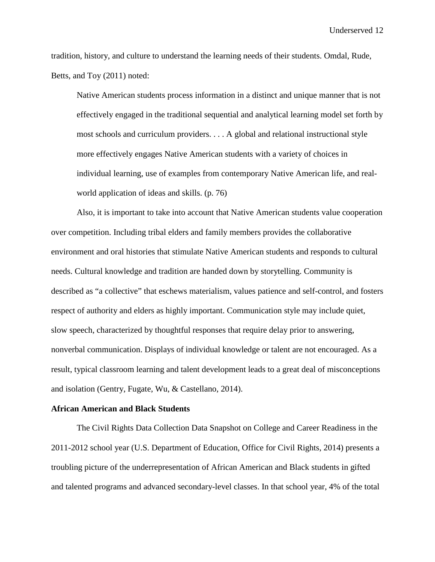tradition, history, and culture to understand the learning needs of their students. Omdal, Rude, Betts, and Toy (2011) noted:

Native American students process information in a distinct and unique manner that is not effectively engaged in the traditional sequential and analytical learning model set forth by most schools and curriculum providers. . . . A global and relational instructional style more effectively engages Native American students with a variety of choices in individual learning, use of examples from contemporary Native American life, and realworld application of ideas and skills. (p. 76)

Also, it is important to take into account that Native American students value cooperation over competition. Including tribal elders and family members provides the collaborative environment and oral histories that stimulate Native American students and responds to cultural needs. Cultural knowledge and tradition are handed down by storytelling. Community is described as "a collective" that eschews materialism, values patience and self-control, and fosters respect of authority and elders as highly important. Communication style may include quiet, slow speech, characterized by thoughtful responses that require delay prior to answering, nonverbal communication. Displays of individual knowledge or talent are not encouraged. As a result, typical classroom learning and talent development leads to a great deal of misconceptions and isolation (Gentry, Fugate, Wu, & Castellano, 2014).

#### **African American and Black Students**

The Civil Rights Data Collection Data Snapshot on College and Career Readiness in the 2011-2012 school year (U.S. Department of Education, Office for Civil Rights, 2014) presents a troubling picture of the underrepresentation of African American and Black students in gifted and talented programs and advanced secondary-level classes. In that school year, 4% of the total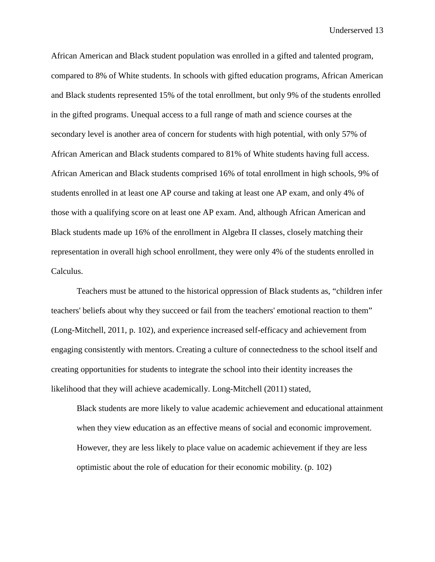African American and Black student population was enrolled in a gifted and talented program, compared to 8% of White students. In schools with gifted education programs, African American and Black students represented 15% of the total enrollment, but only 9% of the students enrolled in the gifted programs. Unequal access to a full range of math and science courses at the secondary level is another area of concern for students with high potential, with only 57% of African American and Black students compared to 81% of White students having full access. African American and Black students comprised 16% of total enrollment in high schools, 9% of students enrolled in at least one AP course and taking at least one AP exam, and only 4% of those with a qualifying score on at least one AP exam. And, although African American and Black students made up 16% of the enrollment in Algebra II classes, closely matching their representation in overall high school enrollment, they were only 4% of the students enrolled in Calculus.

Teachers must be attuned to the historical oppression of Black students as, "children infer teachers' beliefs about why they succeed or fail from the teachers' emotional reaction to them" (Long-Mitchell, 2011, p. 102), and experience increased self-efficacy and achievement from engaging consistently with mentors. Creating a culture of connectedness to the school itself and creating opportunities for students to integrate the school into their identity increases the likelihood that they will achieve academically. Long-Mitchell (2011) stated,

Black students are more likely to value academic achievement and educational attainment when they view education as an effective means of social and economic improvement. However, they are less likely to place value on academic achievement if they are less optimistic about the role of education for their economic mobility. (p. 102)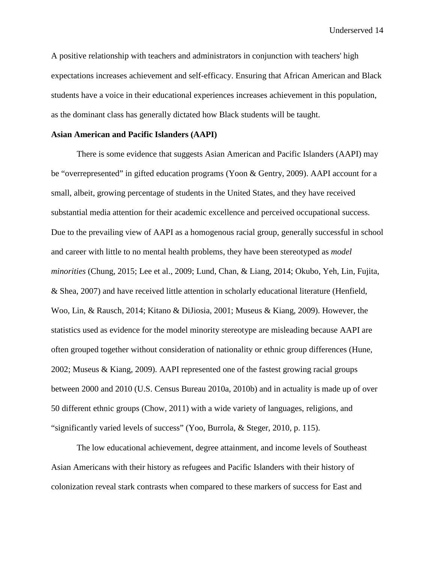A positive relationship with teachers and administrators in conjunction with teachers' high expectations increases achievement and self-efficacy. Ensuring that African American and Black students have a voice in their educational experiences increases achievement in this population, as the dominant class has generally dictated how Black students will be taught.

### **Asian American and Pacific Islanders (AAPI)**

There is some evidence that suggests Asian American and Pacific Islanders (AAPI) may be "overrepresented" in gifted education programs (Yoon & Gentry, 2009). AAPI account for a small, albeit, growing percentage of students in the United States, and they have received substantial media attention for their academic excellence and perceived occupational success. Due to the prevailing view of AAPI as a homogenous racial group, generally successful in school and career with little to no mental health problems, they have been stereotyped as *model minorities* (Chung, 2015; Lee et al., 2009; Lund, Chan, & Liang, 2014; Okubo, Yeh, Lin, Fujita, & Shea, 2007) and have received little attention in scholarly educational literature (Henfield, Woo, Lin, & Rausch, 2014; Kitano & DiJiosia, 2001; Museus & Kiang, 2009). However, the statistics used as evidence for the model minority stereotype are misleading because AAPI are often grouped together without consideration of nationality or ethnic group differences (Hune, 2002; Museus & Kiang, 2009). AAPI represented one of the fastest growing racial groups between 2000 and 2010 (U.S. Census Bureau 2010a, 2010b) and in actuality is made up of over 50 different ethnic groups (Chow, 2011) with a wide variety of languages, religions, and "significantly varied levels of success" (Yoo, Burrola, & Steger, 2010, p. 115).

The low educational achievement, degree attainment, and income levels of Southeast Asian Americans with their history as refugees and Pacific Islanders with their history of colonization reveal stark contrasts when compared to these markers of success for East and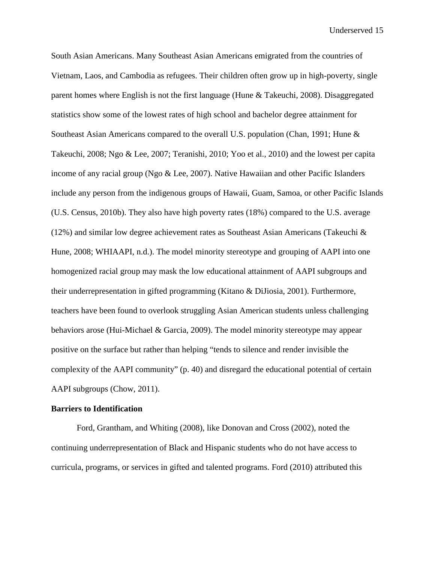South Asian Americans. Many Southeast Asian Americans emigrated from the countries of Vietnam, Laos, and Cambodia as refugees. Their children often grow up in high-poverty, single parent homes where English is not the first language (Hune & Takeuchi, 2008). Disaggregated statistics show some of the lowest rates of high school and bachelor degree attainment for Southeast Asian Americans compared to the overall U.S. population (Chan, 1991; Hune & Takeuchi, 2008; Ngo & Lee, 2007; Teranishi, 2010; Yoo et al., 2010) and the lowest per capita income of any racial group (Ngo & Lee, 2007). Native Hawaiian and other Pacific Islanders include any person from the indigenous groups of Hawaii, Guam, Samoa, or other Pacific Islands (U.S. Census, 2010b). They also have high poverty rates (18%) compared to the U.S. average (12%) and similar low degree achievement rates as Southeast Asian Americans (Takeuchi  $\&$ Hune, 2008; WHIAAPI, n.d.). The model minority stereotype and grouping of AAPI into one homogenized racial group may mask the low educational attainment of AAPI subgroups and their underrepresentation in gifted programming (Kitano & DiJiosia, 2001). Furthermore, teachers have been found to overlook struggling Asian American students unless challenging behaviors arose (Hui-Michael & Garcia, 2009). The model minority stereotype may appear positive on the surface but rather than helping "tends to silence and render invisible the complexity of the AAPI community" (p. 40) and disregard the educational potential of certain AAPI subgroups (Chow, 2011).

#### **Barriers to Identification**

Ford, Grantham, and Whiting (2008), like Donovan and Cross (2002), noted the continuing underrepresentation of Black and Hispanic students who do not have access to curricula, programs, or services in gifted and talented programs. Ford (2010) attributed this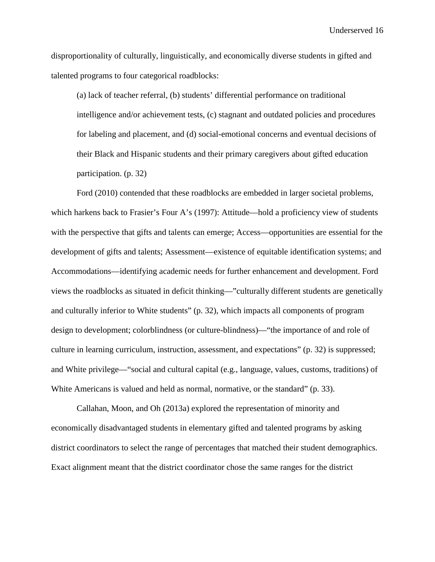disproportionality of culturally, linguistically, and economically diverse students in gifted and talented programs to four categorical roadblocks:

(a) lack of teacher referral, (b) students' differential performance on traditional intelligence and/or achievement tests, (c) stagnant and outdated policies and procedures for labeling and placement, and (d) social-emotional concerns and eventual decisions of their Black and Hispanic students and their primary caregivers about gifted education participation. (p. 32)

Ford (2010) contended that these roadblocks are embedded in larger societal problems, which harkens back to Frasier's Four A's (1997): Attitude—hold a proficiency view of students with the perspective that gifts and talents can emerge; Access—opportunities are essential for the development of gifts and talents; Assessment—existence of equitable identification systems; and Accommodations—identifying academic needs for further enhancement and development. Ford views the roadblocks as situated in deficit thinking—"culturally different students are genetically and culturally inferior to White students" (p. 32), which impacts all components of program design to development; colorblindness (or culture-blindness)—"the importance of and role of culture in learning curriculum, instruction, assessment, and expectations" (p. 32) is suppressed; and White privilege—"social and cultural capital (e.g., language, values, customs, traditions) of White Americans is valued and held as normal, normative, or the standard" (p. 33).

Callahan, Moon, and Oh (2013a) explored the representation of minority and economically disadvantaged students in elementary gifted and talented programs by asking district coordinators to select the range of percentages that matched their student demographics. Exact alignment meant that the district coordinator chose the same ranges for the district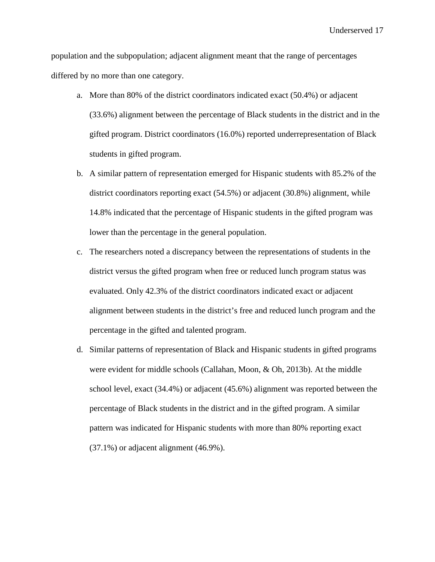population and the subpopulation; adjacent alignment meant that the range of percentages differed by no more than one category.

- a. More than 80% of the district coordinators indicated exact (50.4%) or adjacent (33.6%) alignment between the percentage of Black students in the district and in the gifted program. District coordinators (16.0%) reported underrepresentation of Black students in gifted program.
- b. A similar pattern of representation emerged for Hispanic students with 85.2% of the district coordinators reporting exact (54.5%) or adjacent (30.8%) alignment, while 14.8% indicated that the percentage of Hispanic students in the gifted program was lower than the percentage in the general population.
- c. The researchers noted a discrepancy between the representations of students in the district versus the gifted program when free or reduced lunch program status was evaluated. Only 42.3% of the district coordinators indicated exact or adjacent alignment between students in the district's free and reduced lunch program and the percentage in the gifted and talented program.
- d. Similar patterns of representation of Black and Hispanic students in gifted programs were evident for middle schools (Callahan, Moon, & Oh, 2013b). At the middle school level, exact (34.4%) or adjacent (45.6%) alignment was reported between the percentage of Black students in the district and in the gifted program. A similar pattern was indicated for Hispanic students with more than 80% reporting exact (37.1%) or adjacent alignment (46.9%).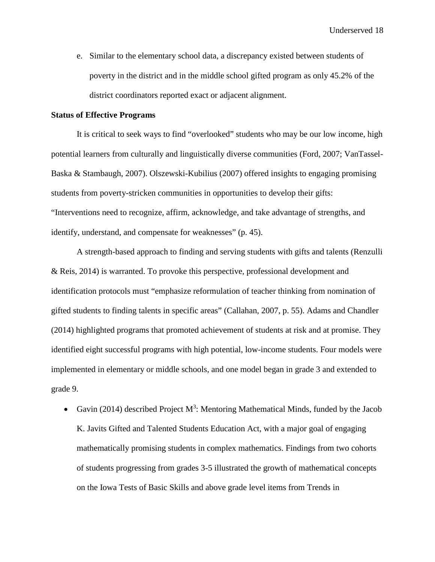e. Similar to the elementary school data, a discrepancy existed between students of poverty in the district and in the middle school gifted program as only 45.2% of the district coordinators reported exact or adjacent alignment.

#### **Status of Effective Programs**

It is critical to seek ways to find "overlooked" students who may be our low income, high potential learners from culturally and linguistically diverse communities (Ford, 2007; VanTassel-Baska & Stambaugh, 2007). Olszewski-Kubilius (2007) offered insights to engaging promising students from poverty-stricken communities in opportunities to develop their gifts: "Interventions need to recognize, affirm, acknowledge, and take advantage of strengths, and identify, understand, and compensate for weaknesses" (p. 45).

A strength-based approach to finding and serving students with gifts and talents (Renzulli & Reis, 2014) is warranted. To provoke this perspective, professional development and identification protocols must "emphasize reformulation of teacher thinking from nomination of gifted students to finding talents in specific areas" (Callahan, 2007, p. 55). Adams and Chandler (2014) highlighted programs that promoted achievement of students at risk and at promise. They identified eight successful programs with high potential, low-income students. Four models were implemented in elementary or middle schools, and one model began in grade 3 and extended to grade 9.

• Gavin (2014) described Project  $M^3$ : Mentoring Mathematical Minds, funded by the Jacob K. Javits Gifted and Talented Students Education Act, with a major goal of engaging mathematically promising students in complex mathematics. Findings from two cohorts of students progressing from grades 3-5 illustrated the growth of mathematical concepts on the Iowa Tests of Basic Skills and above grade level items from Trends in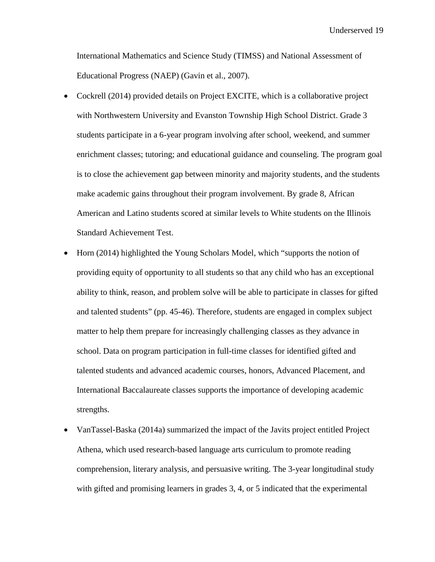International Mathematics and Science Study (TIMSS) and National Assessment of Educational Progress (NAEP) (Gavin et al., 2007).

- Cockrell (2014) provided details on Project EXCITE, which is a collaborative project with Northwestern University and Evanston Township High School District. Grade 3 students participate in a 6-year program involving after school, weekend, and summer enrichment classes; tutoring; and educational guidance and counseling. The program goal is to close the achievement gap between minority and majority students, and the students make academic gains throughout their program involvement. By grade 8, African American and Latino students scored at similar levels to White students on the Illinois Standard Achievement Test.
- Horn (2014) highlighted the Young Scholars Model, which "supports the notion of providing equity of opportunity to all students so that any child who has an exceptional ability to think, reason, and problem solve will be able to participate in classes for gifted and talented students" (pp. 45-46). Therefore, students are engaged in complex subject matter to help them prepare for increasingly challenging classes as they advance in school. Data on program participation in full-time classes for identified gifted and talented students and advanced academic courses, honors, Advanced Placement, and International Baccalaureate classes supports the importance of developing academic strengths.
- VanTassel-Baska (2014a) summarized the impact of the Javits project entitled Project Athena, which used research-based language arts curriculum to promote reading comprehension, literary analysis, and persuasive writing. The 3-year longitudinal study with gifted and promising learners in grades 3, 4, or 5 indicated that the experimental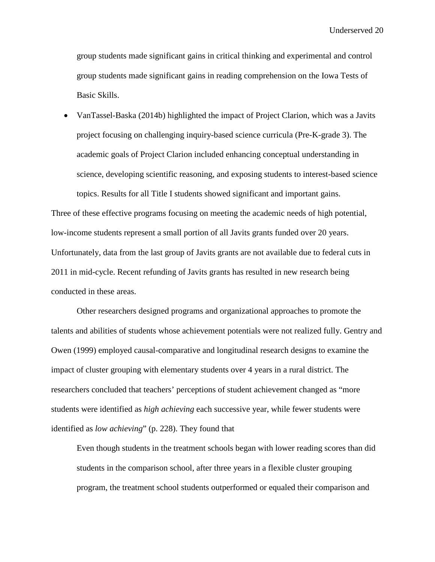group students made significant gains in critical thinking and experimental and control group students made significant gains in reading comprehension on the Iowa Tests of Basic Skills.

• VanTassel-Baska (2014b) highlighted the impact of Project Clarion, which was a Javits project focusing on challenging inquiry-based science curricula (Pre-K-grade 3). The academic goals of Project Clarion included enhancing conceptual understanding in science, developing scientific reasoning, and exposing students to interest-based science topics. Results for all Title I students showed significant and important gains.

Three of these effective programs focusing on meeting the academic needs of high potential, low-income students represent a small portion of all Javits grants funded over 20 years. Unfortunately, data from the last group of Javits grants are not available due to federal cuts in 2011 in mid-cycle. Recent refunding of Javits grants has resulted in new research being conducted in these areas.

Other researchers designed programs and organizational approaches to promote the talents and abilities of students whose achievement potentials were not realized fully. Gentry and Owen (1999) employed causal-comparative and longitudinal research designs to examine the impact of cluster grouping with elementary students over 4 years in a rural district. The researchers concluded that teachers' perceptions of student achievement changed as "more students were identified as *high achieving* each successive year, while fewer students were identified as *low achieving*" (p. 228). They found that

Even though students in the treatment schools began with lower reading scores than did students in the comparison school, after three years in a flexible cluster grouping program, the treatment school students outperformed or equaled their comparison and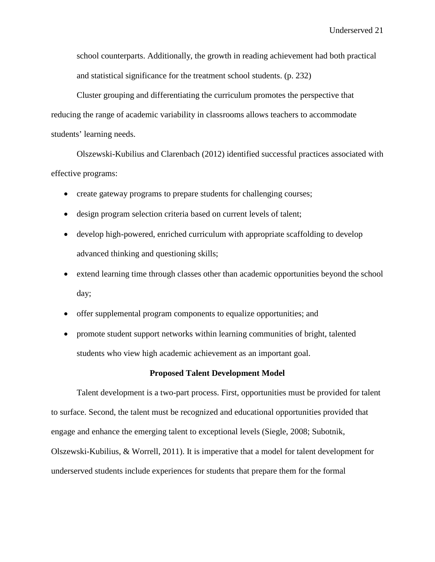school counterparts. Additionally, the growth in reading achievement had both practical and statistical significance for the treatment school students. (p. 232)

Cluster grouping and differentiating the curriculum promotes the perspective that reducing the range of academic variability in classrooms allows teachers to accommodate students' learning needs.

Olszewski-Kubilius and Clarenbach (2012) identified successful practices associated with effective programs:

- create gateway programs to prepare students for challenging courses;
- design program selection criteria based on current levels of talent;
- develop high-powered, enriched curriculum with appropriate scaffolding to develop advanced thinking and questioning skills;
- extend learning time through classes other than academic opportunities beyond the school day;
- offer supplemental program components to equalize opportunities; and
- promote student support networks within learning communities of bright, talented students who view high academic achievement as an important goal.

#### **Proposed Talent Development Model**

Talent development is a two-part process. First, opportunities must be provided for talent to surface. Second, the talent must be recognized and educational opportunities provided that engage and enhance the emerging talent to exceptional levels (Siegle, 2008; Subotnik, Olszewski-Kubilius, & Worrell, 2011). It is imperative that a model for talent development for underserved students include experiences for students that prepare them for the formal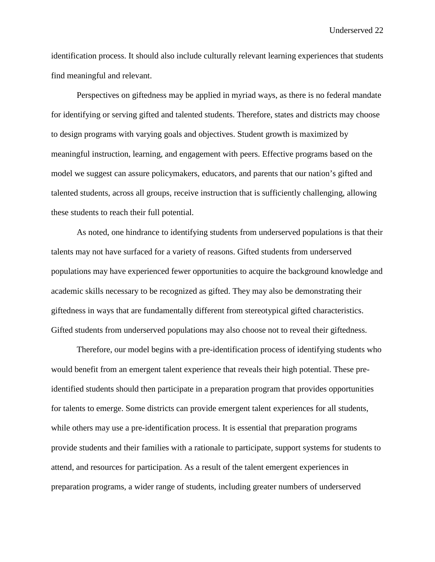identification process. It should also include culturally relevant learning experiences that students find meaningful and relevant.

Perspectives on giftedness may be applied in myriad ways, as there is no federal mandate for identifying or serving gifted and talented students. Therefore, states and districts may choose to design programs with varying goals and objectives. Student growth is maximized by meaningful instruction, learning, and engagement with peers. Effective programs based on the model we suggest can assure policymakers, educators, and parents that our nation's gifted and talented students, across all groups, receive instruction that is sufficiently challenging, allowing these students to reach their full potential.

As noted, one hindrance to identifying students from underserved populations is that their talents may not have surfaced for a variety of reasons. Gifted students from underserved populations may have experienced fewer opportunities to acquire the background knowledge and academic skills necessary to be recognized as gifted. They may also be demonstrating their giftedness in ways that are fundamentally different from stereotypical gifted characteristics. Gifted students from underserved populations may also choose not to reveal their giftedness.

Therefore, our model begins with a pre-identification process of identifying students who would benefit from an emergent talent experience that reveals their high potential. These preidentified students should then participate in a preparation program that provides opportunities for talents to emerge. Some districts can provide emergent talent experiences for all students, while others may use a pre-identification process. It is essential that preparation programs provide students and their families with a rationale to participate, support systems for students to attend, and resources for participation. As a result of the talent emergent experiences in preparation programs, a wider range of students, including greater numbers of underserved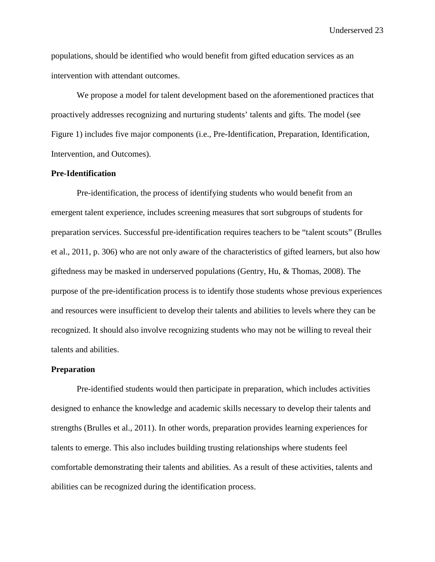populations, should be identified who would benefit from gifted education services as an intervention with attendant outcomes.

We propose a model for talent development based on the aforementioned practices that proactively addresses recognizing and nurturing students' talents and gifts. The model (see Figure 1) includes five major components (i.e., Pre-Identification, Preparation, Identification, Intervention, and Outcomes).

## **Pre-Identification**

Pre-identification, the process of identifying students who would benefit from an emergent talent experience, includes screening measures that sort subgroups of students for preparation services. Successful pre-identification requires teachers to be "talent scouts" (Brulles et al., 2011, p. 306) who are not only aware of the characteristics of gifted learners, but also how giftedness may be masked in underserved populations (Gentry, Hu, & Thomas, 2008). The purpose of the pre-identification process is to identify those students whose previous experiences and resources were insufficient to develop their talents and abilities to levels where they can be recognized. It should also involve recognizing students who may not be willing to reveal their talents and abilities.

### **Preparation**

Pre-identified students would then participate in preparation, which includes activities designed to enhance the knowledge and academic skills necessary to develop their talents and strengths (Brulles et al., 2011). In other words, preparation provides learning experiences for talents to emerge. This also includes building trusting relationships where students feel comfortable demonstrating their talents and abilities. As a result of these activities, talents and abilities can be recognized during the identification process.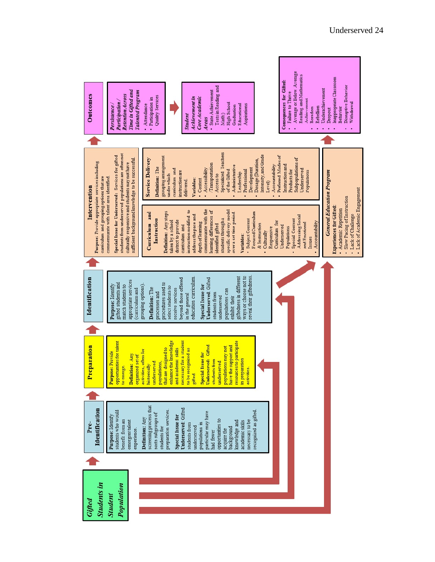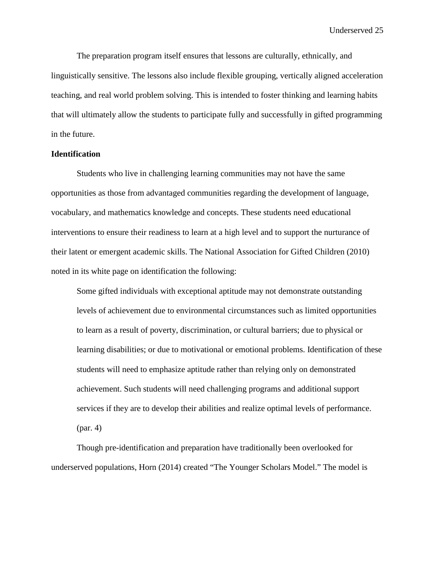The preparation program itself ensures that lessons are culturally, ethnically, and linguistically sensitive. The lessons also include flexible grouping, vertically aligned acceleration teaching, and real world problem solving. This is intended to foster thinking and learning habits that will ultimately allow the students to participate fully and successfully in gifted programming in the future.

#### **Identification**

Students who live in challenging learning communities may not have the same opportunities as those from advantaged communities regarding the development of language, vocabulary, and mathematics knowledge and concepts. These students need educational interventions to ensure their readiness to learn at a high level and to support the nurturance of their latent or emergent academic skills. The National Association for Gifted Children (2010) noted in its white page on identification the following:

Some gifted individuals with exceptional aptitude may not demonstrate outstanding levels of achievement due to environmental circumstances such as limited opportunities to learn as a result of poverty, discrimination, or cultural barriers; due to physical or learning disabilities; or due to motivational or emotional problems. Identification of these students will need to emphasize aptitude rather than relying only on demonstrated achievement. Such students will need challenging programs and additional support services if they are to develop their abilities and realize optimal levels of performance. (par. 4)

Though pre-identification and preparation have traditionally been overlooked for underserved populations, Horn (2014) created "The Younger Scholars Model." The model is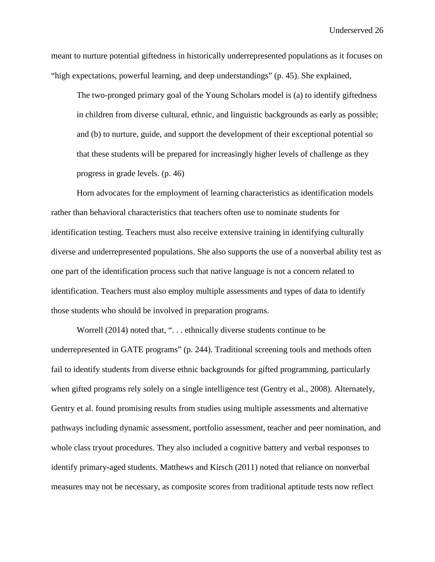meant to nurture potential giftedness in historically underrepresented populations as it focuses on "high expectations, powerful learning, and deep understandings" (p. 45). She explained,

The two-pronged primary goal of the Young Scholars model is (a) to identify giftedness in children from diverse cultural, ethnic, and linguistic backgrounds as early as possible; and (b) to nurture, guide, and support the development of their exceptional potential so that these students will be prepared for increasingly higher levels of challenge as they progress in grade levels. (p. 46)

Horn advocates for the employment of learning characteristics as identification models rather than behavioral characteristics that teachers often use to nominate students for identification testing. Teachers must also receive extensive training in identifying culturally diverse and underrepresented populations. She also supports the use of a nonverbal ability test as one part of the identification process such that native language is not a concern related to identification. Teachers must also employ multiple assessments and types of data to identify those students who should be involved in preparation programs.

Worrell (2014) noted that, "... ethnically diverse students continue to be underrepresented in GATE programs" (p. 244). Traditional screening tools and methods often fail to identify students from diverse ethnic backgrounds for gifted programming, particularly when gifted programs rely solely on a single intelligence test (Gentry et al., 2008). Alternately, Gentry et al. found promising results from studies using multiple assessments and alternative pathways including dynamic assessment, portfolio assessment, teacher and peer nomination, and whole class tryout procedures. They also included a cognitive battery and verbal responses to identify primary-aged students. Matthews and Kirsch (2011) noted that reliance on nonverbal measures may not be necessary, as composite scores from traditional aptitude tests now reflect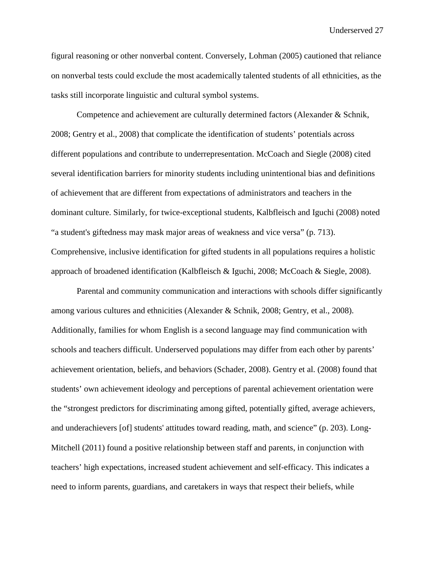figural reasoning or other nonverbal content. Conversely, Lohman (2005) cautioned that reliance on nonverbal tests could exclude the most academically talented students of all ethnicities, as the tasks still incorporate linguistic and cultural symbol systems.

Competence and achievement are culturally determined factors (Alexander & Schnik, 2008; Gentry et al., 2008) that complicate the identification of students' potentials across different populations and contribute to underrepresentation. McCoach and Siegle (2008) cited several identification barriers for minority students including unintentional bias and definitions of achievement that are different from expectations of administrators and teachers in the dominant culture. Similarly, for twice-exceptional students, Kalbfleisch and Iguchi (2008) noted "a student's giftedness may mask major areas of weakness and vice versa" (p. 713). Comprehensive, inclusive identification for gifted students in all populations requires a holistic approach of broadened identification (Kalbfleisch & Iguchi, 2008; McCoach & Siegle, 2008).

Parental and community communication and interactions with schools differ significantly among various cultures and ethnicities (Alexander & Schnik, 2008; Gentry, et al., 2008). Additionally, families for whom English is a second language may find communication with schools and teachers difficult. Underserved populations may differ from each other by parents' achievement orientation, beliefs, and behaviors (Schader, 2008). Gentry et al. (2008) found that students' own achievement ideology and perceptions of parental achievement orientation were the "strongest predictors for discriminating among gifted, potentially gifted, average achievers, and underachievers [of] students' attitudes toward reading, math, and science" (p. 203). Long-Mitchell (2011) found a positive relationship between staff and parents, in conjunction with teachers' high expectations, increased student achievement and self-efficacy. This indicates a need to inform parents, guardians, and caretakers in ways that respect their beliefs, while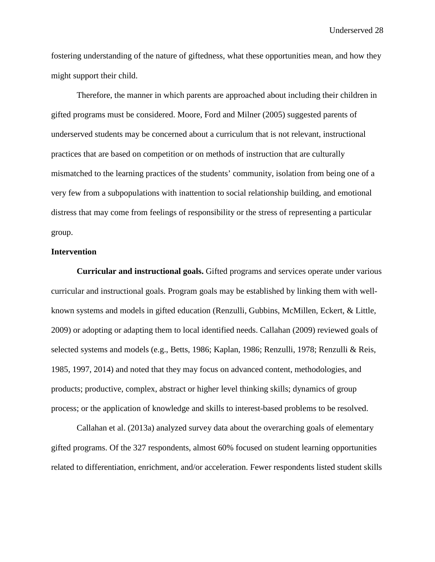fostering understanding of the nature of giftedness, what these opportunities mean, and how they might support their child.

Therefore, the manner in which parents are approached about including their children in gifted programs must be considered. Moore, Ford and Milner (2005) suggested parents of underserved students may be concerned about a curriculum that is not relevant, instructional practices that are based on competition or on methods of instruction that are culturally mismatched to the learning practices of the students' community, isolation from being one of a very few from a subpopulations with inattention to social relationship building, and emotional distress that may come from feelings of responsibility or the stress of representing a particular group.

#### **Intervention**

**Curricular and instructional goals.** Gifted programs and services operate under various curricular and instructional goals. Program goals may be established by linking them with wellknown systems and models in gifted education (Renzulli, Gubbins, McMillen, Eckert, & Little, 2009) or adopting or adapting them to local identified needs. Callahan (2009) reviewed goals of selected systems and models (e.g., Betts, 1986; Kaplan, 1986; Renzulli, 1978; Renzulli & Reis, 1985, 1997, 2014) and noted that they may focus on advanced content, methodologies, and products; productive, complex, abstract or higher level thinking skills; dynamics of group process; or the application of knowledge and skills to interest-based problems to be resolved.

Callahan et al. (2013a) analyzed survey data about the overarching goals of elementary gifted programs. Of the 327 respondents, almost 60% focused on student learning opportunities related to differentiation, enrichment, and/or acceleration. Fewer respondents listed student skills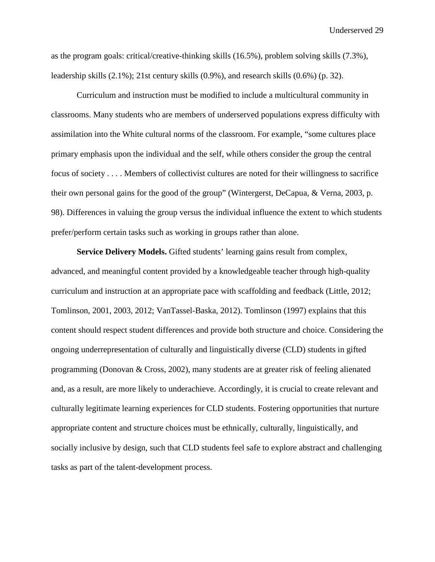as the program goals: critical/creative-thinking skills (16.5%), problem solving skills (7.3%), leadership skills (2.1%); 21st century skills (0.9%), and research skills (0.6%) (p. 32).

Curriculum and instruction must be modified to include a multicultural community in classrooms. Many students who are members of underserved populations express difficulty with assimilation into the White cultural norms of the classroom. For example, "some cultures place primary emphasis upon the individual and the self, while others consider the group the central focus of society . . . . Members of collectivist cultures are noted for their willingness to sacrifice their own personal gains for the good of the group" (Wintergerst, DeCapua, & Verna, 2003, p. 98). Differences in valuing the group versus the individual influence the extent to which students prefer/perform certain tasks such as working in groups rather than alone.

**Service Delivery Models.** Gifted students' learning gains result from complex, advanced, and meaningful content provided by a knowledgeable teacher through high-quality curriculum and instruction at an appropriate pace with scaffolding and feedback (Little, 2012; Tomlinson, 2001, 2003, 2012; VanTassel-Baska, 2012). Tomlinson (1997) explains that this content should respect student differences and provide both structure and choice. Considering the ongoing underrepresentation of culturally and linguistically diverse (CLD) students in gifted programming (Donovan & Cross, 2002), many students are at greater risk of feeling alienated and, as a result, are more likely to underachieve. Accordingly, it is crucial to create relevant and culturally legitimate learning experiences for CLD students. Fostering opportunities that nurture appropriate content and structure choices must be ethnically, culturally, linguistically, and socially inclusive by design, such that CLD students feel safe to explore abstract and challenging tasks as part of the talent-development process.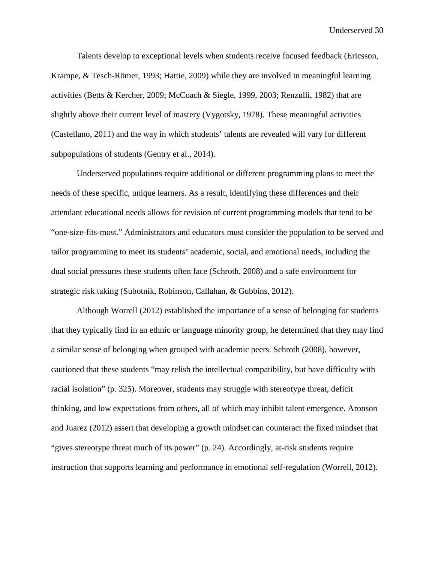Talents develop to exceptional levels when students receive focused feedback (Ericsson, Krampe, & Tesch-Römer, 1993; Hattie, 2009) while they are involved in meaningful learning activities (Betts & Kercher, 2009; McCoach & Siegle, 1999, 2003; Renzulli, 1982) that are slightly above their current level of mastery (Vygotsky, 1978). These meaningful activities (Castellano, 2011) and the way in which students' talents are revealed will vary for different subpopulations of students (Gentry et al., 2014).

Underserved populations require additional or different programming plans to meet the needs of these specific, unique learners. As a result, identifying these differences and their attendant educational needs allows for revision of current programming models that tend to be "one-size-fits-most." Administrators and educators must consider the population to be served and tailor programming to meet its students' academic, social, and emotional needs, including the dual social pressures these students often face (Schroth, 2008) and a safe environment for strategic risk taking (Subotnik, Robinson, Callahan, & Gubbins, 2012).

Although Worrell (2012) established the importance of a sense of belonging for students that they typically find in an ethnic or language minority group, he determined that they may find a similar sense of belonging when grouped with academic peers. Schroth (2008), however, cautioned that these students "may relish the intellectual compatibility, but have difficulty with racial isolation" (p. 325). Moreover, students may struggle with stereotype threat, deficit thinking, and low expectations from others, all of which may inhibit talent emergence. Aronson and Juarez (2012) assert that developing a growth mindset can counteract the fixed mindset that "gives stereotype threat much of its power" (p. 24). Accordingly, at-risk students require instruction that supports learning and performance in emotional self-regulation (Worrell, 2012).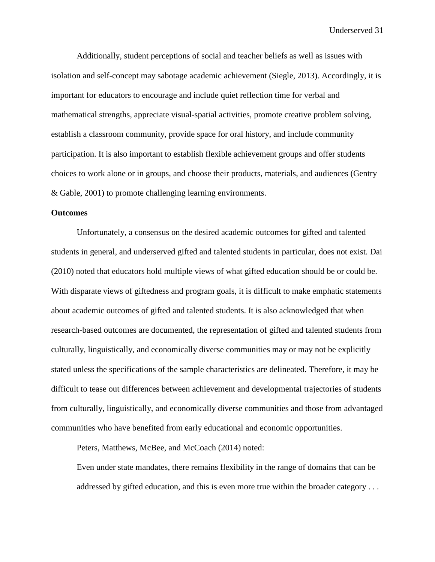Additionally, student perceptions of social and teacher beliefs as well as issues with isolation and self-concept may sabotage academic achievement (Siegle, 2013). Accordingly, it is important for educators to encourage and include quiet reflection time for verbal and mathematical strengths, appreciate visual-spatial activities, promote creative problem solving, establish a classroom community, provide space for oral history, and include community participation. It is also important to establish flexible achievement groups and offer students choices to work alone or in groups, and choose their products, materials, and audiences (Gentry & Gable, 2001) to promote challenging learning environments.

#### **Outcomes**

Unfortunately, a consensus on the desired academic outcomes for gifted and talented students in general, and underserved gifted and talented students in particular, does not exist. Dai (2010) noted that educators hold multiple views of what gifted education should be or could be. With disparate views of giftedness and program goals, it is difficult to make emphatic statements about academic outcomes of gifted and talented students. It is also acknowledged that when research-based outcomes are documented, the representation of gifted and talented students from culturally, linguistically, and economically diverse communities may or may not be explicitly stated unless the specifications of the sample characteristics are delineated. Therefore, it may be difficult to tease out differences between achievement and developmental trajectories of students from culturally, linguistically, and economically diverse communities and those from advantaged communities who have benefited from early educational and economic opportunities.

Peters, Matthews, McBee, and McCoach (2014) noted:

Even under state mandates, there remains flexibility in the range of domains that can be addressed by gifted education, and this is even more true within the broader category . . .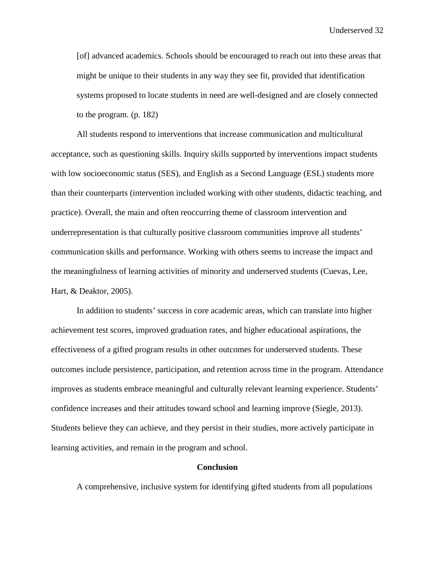[of] advanced academics. Schools should be encouraged to reach out into these areas that might be unique to their students in any way they see fit, provided that identification systems proposed to locate students in need are well-designed and are closely connected to the program. (p. 182)

All students respond to interventions that increase communication and multicultural acceptance, such as questioning skills. Inquiry skills supported by interventions impact students with low socioeconomic status (SES), and English as a Second Language (ESL) students more than their counterparts (intervention included working with other students, didactic teaching, and practice). Overall, the main and often reoccurring theme of classroom intervention and underrepresentation is that culturally positive classroom communities improve all students' communication skills and performance. Working with others seems to increase the impact and the meaningfulness of learning activities of minority and underserved students (Cuevas, Lee, Hart, & Deaktor, 2005).

In addition to students' success in core academic areas, which can translate into higher achievement test scores, improved graduation rates, and higher educational aspirations, the effectiveness of a gifted program results in other outcomes for underserved students. These outcomes include persistence, participation, and retention across time in the program. Attendance improves as students embrace meaningful and culturally relevant learning experience. Students' confidence increases and their attitudes toward school and learning improve (Siegle, 2013). Students believe they can achieve, and they persist in their studies, more actively participate in learning activities, and remain in the program and school.

### **Conclusion**

A comprehensive, inclusive system for identifying gifted students from all populations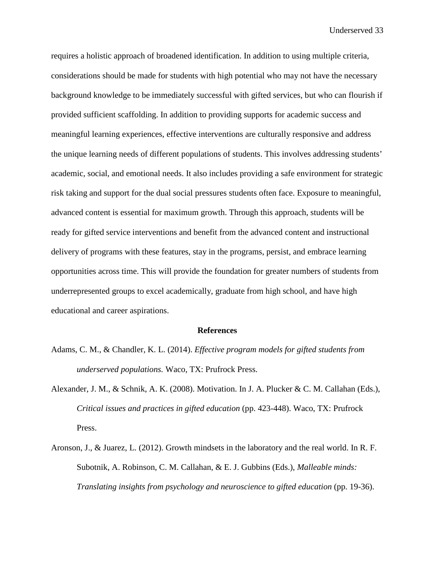requires a holistic approach of broadened identification. In addition to using multiple criteria, considerations should be made for students with high potential who may not have the necessary background knowledge to be immediately successful with gifted services, but who can flourish if provided sufficient scaffolding. In addition to providing supports for academic success and meaningful learning experiences, effective interventions are culturally responsive and address the unique learning needs of different populations of students. This involves addressing students' academic, social, and emotional needs. It also includes providing a safe environment for strategic risk taking and support for the dual social pressures students often face. Exposure to meaningful, advanced content is essential for maximum growth. Through this approach, students will be ready for gifted service interventions and benefit from the advanced content and instructional delivery of programs with these features, stay in the programs, persist, and embrace learning opportunities across time. This will provide the foundation for greater numbers of students from underrepresented groups to excel academically, graduate from high school, and have high educational and career aspirations.

#### **References**

- Adams, C. M., & Chandler, K. L. (2014). *Effective program models for gifted students from underserved populations.* Waco, TX: Prufrock Press.
- Alexander, J. M., & Schnik, A. K. (2008). Motivation. In J. A. Plucker & C. M. Callahan (Eds.), *Critical issues and practices in gifted education* (pp. 423-448). Waco, TX: Prufrock Press.
- Aronson, J., & Juarez, L. (2012). Growth mindsets in the laboratory and the real world. In R. F. Subotnik, A. Robinson, C. M. Callahan, & E. J. Gubbins (Eds.), *Malleable minds: Translating insights from psychology and neuroscience to gifted education* (pp. 19-36).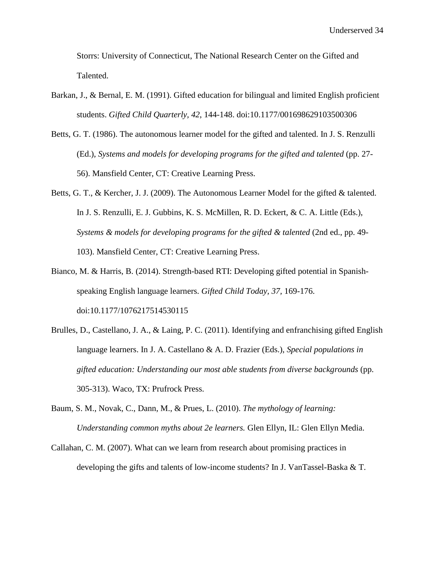Storrs: University of Connecticut, The National Research Center on the Gifted and Talented.

- Barkan, J., & Bernal, E. M. (1991). Gifted education for bilingual and limited English proficient students. *Gifted Child Quarterly, 42*, 144-148. doi:10.1177/001698629103500306
- Betts, G. T. (1986). The autonomous learner model for the gifted and talented. In J. S. Renzulli (Ed.), *Systems and models for developing programs for the gifted and talented* (pp. 27-56). Mansfield Center, CT: Creative Learning Press.
- Betts, G. T., & Kercher, J. J. (2009). The Autonomous Learner Model for the gifted & talented. In J. S. Renzulli, E. J. Gubbins, K. S. McMillen, R. D. Eckert, & C. A. Little (Eds.), *Systems & models for developing programs for the gifted & talented* (2nd ed., pp. 49- 103). Mansfield Center, CT: Creative Learning Press.
- Bianco, M. & Harris, B. (2014). Strength-based RTI: Developing gifted potential in Spanishspeaking English language learners. *Gifted Child Today, 37,* 169-176. doi:10.1177/1076217514530115
- Brulles, D., Castellano, J. A., & Laing, P. C. (2011). Identifying and enfranchising gifted English language learners. In J. A. Castellano & A. D. Frazier (Eds.), *Special populations in gifted education: Understanding our most able students from diverse backgrounds* (pp. 305-313). Waco, TX: Prufrock Press.
- Baum, S. M., Novak, C., Dann, M., & Prues, L. (2010). *The mythology of learning: Understanding common myths about 2e learners.* Glen Ellyn, IL: Glen Ellyn Media.
- Callahan, C. M. (2007). What can we learn from research about promising practices in developing the gifts and talents of low-income students? In J. VanTassel-Baska & T.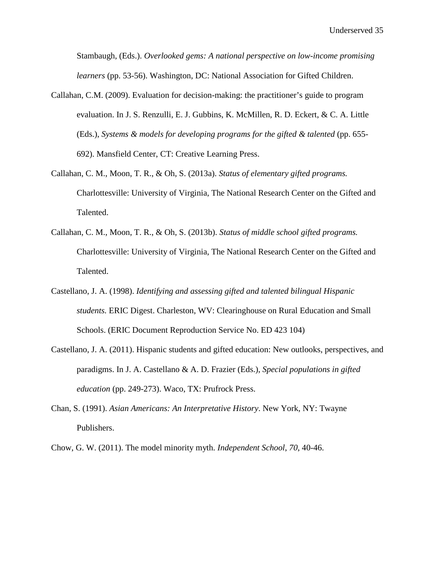Stambaugh, (Eds.). *Overlooked gems: A national perspective on low-income promising learners* (pp. 53-56). Washington, DC: National Association for Gifted Children.

- Callahan, C.M. (2009). Evaluation for decision-making: the practitioner's guide to program evaluation. In J. S. Renzulli, E. J. Gubbins, K. McMillen, R. D. Eckert, & C. A. Little (Eds.), *Systems & models for developing programs for the gifted & talented* (pp. 655- 692). Mansfield Center, CT: Creative Learning Press.
- Callahan, C. M., Moon, T. R., & Oh, S. (2013a). *Status of elementary gifted programs.*  Charlottesville: University of Virginia, The National Research Center on the Gifted and Talented.
- Callahan, C. M., Moon, T. R., & Oh, S. (2013b). *Status of middle school gifted programs.*  Charlottesville: University of Virginia, The National Research Center on the Gifted and Talented.
- Castellano, J. A. (1998). *Identifying and assessing gifted and talented bilingual Hispanic students.* ERIC Digest. Charleston, WV: Clearinghouse on Rural Education and Small Schools. (ERIC Document Reproduction Service No. ED 423 104)
- Castellano, J. A. (2011). Hispanic students and gifted education: New outlooks, perspectives, and paradigms. In J. A. Castellano & A. D. Frazier (Eds.), *Special populations in gifted education* (pp. 249-273). Waco, TX: Prufrock Press.
- Chan, S. (1991). *Asian Americans: An Interpretative History*. New York, NY: Twayne Publishers.

Chow, G. W. (2011). The model minority myth. *Independent School*, *70*, 40-46.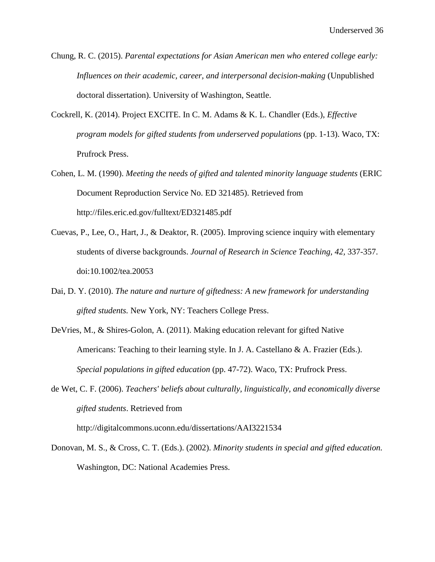- Chung, R. C. (2015). *Parental expectations for Asian American men who entered college early: Influences on their academic, career, and interpersonal decision-making* (Unpublished doctoral dissertation). University of Washington, Seattle.
- Cockrell, K. (2014). Project EXCITE. In C. M. Adams & K. L. Chandler (Eds.), *Effective program models for gifted students from underserved populations (pp. 1-13).* Waco, TX: Prufrock Press.
- Cohen, L. M. (1990). *Meeting the needs of gifted and talented minority language students* (ERIC Document Reproduction Service No. ED 321485). Retrieved from http://files.eric.ed.gov/fulltext/ED321485.pdf
- Cuevas, P., Lee, O., Hart, J., & Deaktor, R. (2005). Improving science inquiry with elementary students of diverse backgrounds. *Journal of Research in Science Teaching, 42,* 337-357. doi:10.1002/tea.20053
- Dai, D. Y. (2010). *The nature and nurture of giftedness: A new framework for understanding gifted students.* New York, NY: Teachers College Press.
- DeVries, M., & Shires-Golon, A. (2011). Making education relevant for gifted Native Americans: Teaching to their learning style. In J. A. Castellano & A. Frazier (Eds.). *Special populations in gifted education* (pp. 47-72). Waco, TX: Prufrock Press.
- de Wet, C. F. (2006). *Teachers' beliefs about culturally, linguistically, and economically diverse gifted students*. Retrieved from

http://digitalcommons.uconn.edu/dissertations/AAI3221534

Donovan, M. S., & Cross, C. T. (Eds.). (2002). *Minority students in special and gifted education.* Washington, DC: National Academies Press.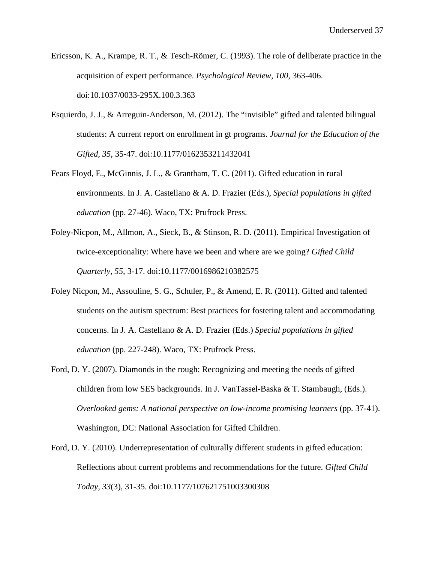- Ericsson, K. A., Krampe, R. T., & Tesch-Römer, C. (1993). The role of deliberate practice in the acquisition of expert performance. *Psychological Review, 100*, 363-406. doi:10.1037/0033-295X.100.3.363
- Esquierdo, J. J., & Arreguin-Anderson, M. (2012). The "invisible" gifted and talented bilingual students: A current report on enrollment in gt programs. *Journal for the Education of the Gifted, 35*, 35-47. doi:10.1177/0162353211432041
- Fears Floyd, E., McGinnis, J. L., & Grantham, T. C. (2011). Gifted education in rural environments. In J. A. Castellano & A. D. Frazier (Eds.), *Special populations in gifted education* (pp. 27-46). Waco, TX: Prufrock Press.
- Foley-Nicpon, M., Allmon, A., Sieck, B., & Stinson, R. D. (2011). Empirical Investigation of twice-exceptionality: Where have we been and where are we going? *Gifted Child Quarterly, 55*, 3-17. doi:10.1177/0016986210382575
- Foley Nicpon, M., Assouline, S. G., Schuler, P., & Amend, E. R. (2011). Gifted and talented students on the autism spectrum: Best practices for fostering talent and accommodating concerns. In J. A. Castellano & A. D. Frazier (Eds.) *Special populations in gifted education* (pp. 227-248). Waco, TX: Prufrock Press.
- Ford, D. Y. (2007). Diamonds in the rough: Recognizing and meeting the needs of gifted children from low SES backgrounds. In J. VanTassel-Baska & T. Stambaugh, (Eds.). *Overlooked gems: A national perspective on low-income promising learners (pp. 37-41).* Washington, DC: National Association for Gifted Children.
- Ford, D. Y. (2010). Underrepresentation of culturally different students in gifted education: Reflections about current problems and recommendations for the future. *Gifted Child Today, 33*(3)*,* 31-35. doi:10.1177/107621751003300308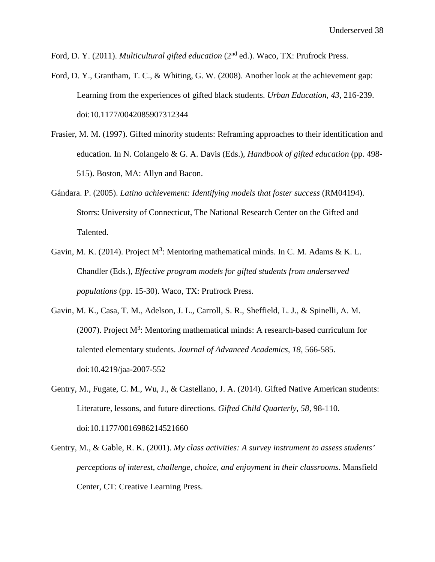Ford, D. Y. (2011). *Multicultural gifted education* (2<sup>nd</sup> ed.). Waco, TX: Prufrock Press.

- Ford, D. Y., Grantham, T. C., & Whiting, G. W. (2008). Another look at the achievement gap: Learning from the experiences of gifted black students. *Urban Education, 43,* 216-239. doi:10.1177/0042085907312344
- Frasier, M. M. (1997). Gifted minority students: Reframing approaches to their identification and education. In N. Colangelo & G. A. Davis (Eds.), *Handbook of gifted education* (pp. 498- 515). Boston, MA: Allyn and Bacon.
- Gándara. P. (2005). *Latino achievement: Identifying models that foster success* (RM04194). Storrs: University of Connecticut, The National Research Center on the Gifted and Talented.
- Gavin, M. K. (2014). Project  $M^3$ : Mentoring mathematical minds. In C. M. Adams & K. L. Chandler (Eds.), *Effective program models for gifted students from underserved populations* (pp. 15-30). Waco, TX: Prufrock Press.
- Gavin, M. K., Casa, T. M., Adelson, J. L., Carroll, S. R., Sheffield, L. J., & Spinelli, A. M. (2007). Project  $M^3$ : Mentoring mathematical minds: A research-based curriculum for talented elementary students. *Journal of Advanced Academics, 18,* 566-585. doi:10.4219/jaa-2007-552
- Gentry, M., Fugate, C. M., Wu, J., & Castellano, J. A. (2014). Gifted Native American students: Literature, lessons, and future directions. *Gifted Child Quarterly, 58,* 98-110. doi:10.1177/0016986214521660
- Gentry, M., & Gable, R. K. (2001). *My class activities: A survey instrument to assess students' perceptions of interest, challenge, choice, and enjoyment in their classrooms.* Mansfield Center, CT: Creative Learning Press.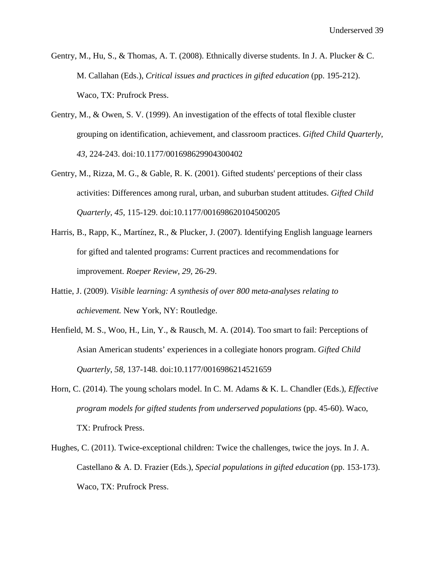- Gentry, M., Hu, S., & Thomas, A. T. (2008). Ethnically diverse students. In J. A. Plucker & C. M. Callahan (Eds.), *Critical issues and practices in gifted education* (pp. 195-212). Waco, TX: Prufrock Press.
- Gentry, M., & Owen, S. V. (1999). An investigation of the effects of total flexible cluster grouping on identification, achievement, and classroom practices. *Gifted Child Quarterly, 43,* 224-243. doi*:*10.1177/001698629904300402
- Gentry, M., Rizza, M. G., & Gable, R. K. (2001). Gifted students' perceptions of their class activities: Differences among rural, urban, and suburban student attitudes. *Gifted Child Quarterly, 45,* 115-129. doi:10.1177/001698620104500205
- Harris, B., Rapp, K., Martínez, R., & Plucker, J. (2007). Identifying English language learners for gifted and talented programs: Current practices and recommendations for improvement. *Roeper Review*, *29,* 26-29.
- Hattie, J. (2009). *Visible learning: A synthesis of over 800 meta-analyses relating to achievement.* New York, NY: Routledge.
- Henfield, M. S., Woo, H., Lin, Y., & Rausch, M. A. (2014). Too smart to fail: Perceptions of Asian American students' experiences in a collegiate honors program. *Gifted Child Quarterly*, *58,* 137-148. doi:10.1177/0016986214521659
- Horn, C. (2014). The young scholars model. In C. M. Adams & K. L. Chandler (Eds.), *Effective program models for gifted students from underserved populations* (pp. 45-60). Waco, TX: Prufrock Press.
- Hughes, C. (2011). Twice-exceptional children: Twice the challenges, twice the joys. In J. A. Castellano & A. D. Frazier (Eds.), *Special populations in gifted education* (pp. 153-173). Waco, TX: Prufrock Press.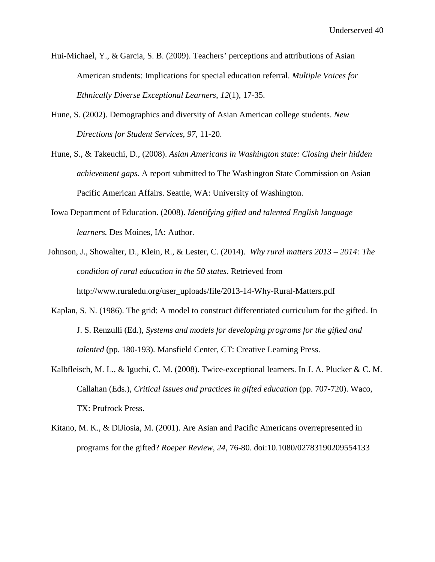- Hui-Michael, Y., & Garcia, S. B. (2009). Teachers' perceptions and attributions of Asian American students: Implications for special education referral. *Multiple Voices for Ethnically Diverse Exceptional Learners*, *12*(1), 17-35.
- Hune, S. (2002). Demographics and diversity of Asian American college students. *New Directions for Student Services*, *97*, 11-20.
- Hune, S., & Takeuchi, D., (2008). *Asian Americans in Washington state: Closing their hidden achievement gaps.* A report submitted to The Washington State Commission on Asian Pacific American Affairs. Seattle, WA: University of Washington.
- Iowa Department of Education. (2008). *Identifying gifted and talented English language learners.* Des Moines, IA: Author.
- Johnson, J., Showalter, D., Klein, R., & Lester, C. (2014). *Why rural matters 2013 – 2014: The condition of rural education in the 50 states*. Retrieved from http://www.ruraledu.org/user\_uploads/file/2013-14-Why-Rural-Matters.pdf
- Kaplan, S. N. (1986). The grid: A model to construct differentiated curriculum for the gifted. In J. S. Renzulli (Ed.), *Systems and models for developing programs for the gifted and talented* (pp. 180-193). Mansfield Center, CT: Creative Learning Press.
- Kalbfleisch, M. L., & Iguchi, C. M. (2008). Twice-exceptional learners. In J. A. Plucker & C. M. Callahan (Eds.), *Critical issues and practices in gifted education* (pp. 707-720). Waco, TX: Prufrock Press.
- Kitano, M. K., & DiJiosia, M. (2001). Are Asian and Pacific Americans overrepresented in programs for the gifted? *Roeper Review, 24*, 76-80. doi:10.1080/02783190209554133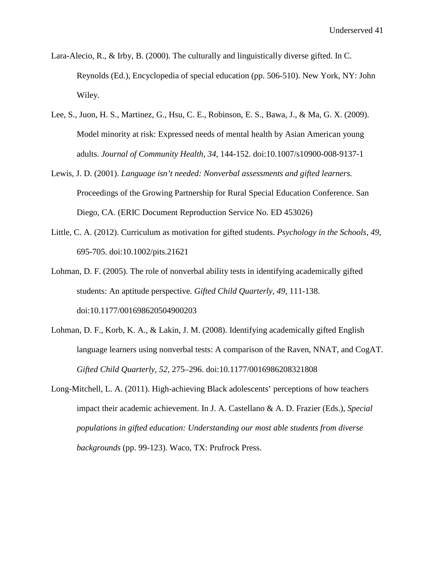- Lara-Alecio, R., & Irby, B. (2000). The culturally and linguistically diverse gifted. In C. Reynolds (Ed.), Encyclopedia of special education (pp. 506-510). New York, NY: John Wiley.
- Lee, S., Juon, H. S., Martinez, G., Hsu, C. E., Robinson, E. S., Bawa, J., & Ma, G. X. (2009). Model minority at risk: Expressed needs of mental health by Asian American young adults. *Journal of Community Health, 34*, 144-152. doi:10.1007/s10900-008-9137-1
- Lewis, J. D. (2001). *Language isn't needed: Nonverbal assessments and gifted learners.* Proceedings of the Growing Partnership for Rural Special Education Conference. San Diego, CA. (ERIC Document Reproduction Service No. ED 453026)
- Little, C. A. (2012). Curriculum as motivation for gifted students. *Psychology in the Schools, 49*, 695-705. doi:10.1002/pits.21621
- Lohman, D. F. (2005). The role of nonverbal ability tests in identifying academically gifted students: An aptitude perspective*. Gifted Child Quarterly, 49,* 111-138. doi:10.1177/001698620504900203
- Lohman, D. F., Korb, K. A., & Lakin, J. M. (2008). Identifying academically gifted English language learners using nonverbal tests: A comparison of the Raven, NNAT, and CogAT. *Gifted Child Quarterly, 52,* 275–296. doi:10.1177/0016986208321808
- Long-Mitchell, L. A. (2011). High-achieving Black adolescents' perceptions of how teachers impact their academic achievement. In J. A. Castellano & A. D. Frazier (Eds.), *Special populations in gifted education: Understanding our most able students from diverse backgrounds* (pp. 99-123). Waco, TX: Prufrock Press.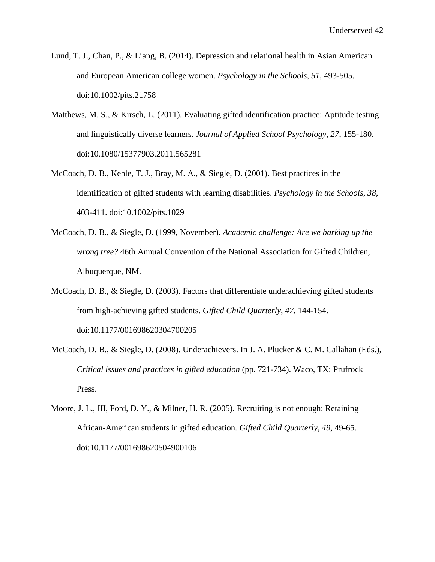- Lund, T. J., Chan, P., & Liang, B. (2014). Depression and relational health in Asian American and European American college women. *Psychology in the Schools, 51*, 493-505. doi:10.1002/pits.21758
- Matthews, M. S., & Kirsch, L. (2011). Evaluating gifted identification practice: Aptitude testing and linguistically diverse learners. *Journal of Applied School Psychology, 27*, 155-180. doi:10.1080/15377903.2011.565281
- McCoach, D. B., Kehle, T. J., Bray, M. A., & Siegle, D. (2001). Best practices in the identification of gifted students with learning disabilities. *Psychology in the Schools, 38,*  403-411. doi:10.1002/pits.1029
- McCoach, D. B., & Siegle, D. (1999, November). *Academic challenge: Are we barking up the wrong tree?* 46th Annual Convention of the National Association for Gifted Children, Albuquerque, NM.
- McCoach, D. B., & Siegle, D. (2003). Factors that differentiate underachieving gifted students from high-achieving gifted students. *Gifted Child Quarterly*, *47*, 144-154. doi:10.1177/001698620304700205
- McCoach, D. B., & Siegle, D. (2008). Underachievers. In J. A. Plucker & C. M. Callahan (Eds.), *Critical issues and practices in gifted education* (pp. 721-734). Waco, TX: Prufrock Press.
- Moore, J. L., III, Ford, D. Y., & Milner, H. R. (2005). Recruiting is not enough: Retaining African-American students in gifted education*. Gifted Child Quarterly, 49,* 49-65. doi:10.1177/001698620504900106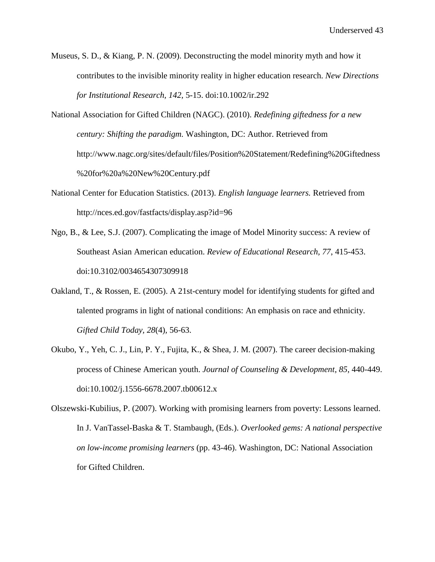- Museus, S. D., & Kiang, P. N. (2009). Deconstructing the model minority myth and how it contributes to the invisible minority reality in higher education research. *New Directions for Institutional Research, 142*, 5-15. doi:10.1002/ir.292
- National Association for Gifted Children (NAGC). (2010). *Redefining giftedness for a new century: Shifting the paradigm.* Washington, DC: Author. Retrieved from http://www.nagc.org/sites/default/files/Position%20Statement/Redefining%20Giftedness %20for%20a%20New%20Century.pdf
- National Center for Education Statistics. (2013). *English language learners.* Retrieved from http://nces.ed.gov/fastfacts/display.asp?id=96
- Ngo, B., & Lee, S.J. (2007). Complicating the image of Model Minority success: A review of Southeast Asian American education. *Review of Educational Research, 77*, 415-453. doi:10.3102/0034654307309918
- Oakland, T., & Rossen, E. (2005). A 21st-century model for identifying students for gifted and talented programs in light of national conditions: An emphasis on race and ethnicity. *Gifted Child Today, 28*(4)*,* 56-63.
- Okubo, Y., Yeh, C. J., Lin, P. Y., Fujita, K., & Shea, J. M. (2007). The career decision-making process of Chinese American youth. *Journal of Counseling & Development*, *85*, 440-449. doi:10.1002/j.1556-6678.2007.tb00612.x
- Olszewski-Kubilius, P. (2007). Working with promising learners from poverty: Lessons learned. In J. VanTassel-Baska & T. Stambaugh, (Eds.). *Overlooked gems: A national perspective on low-income promising learners* (pp. 43-46). Washington, DC: National Association for Gifted Children.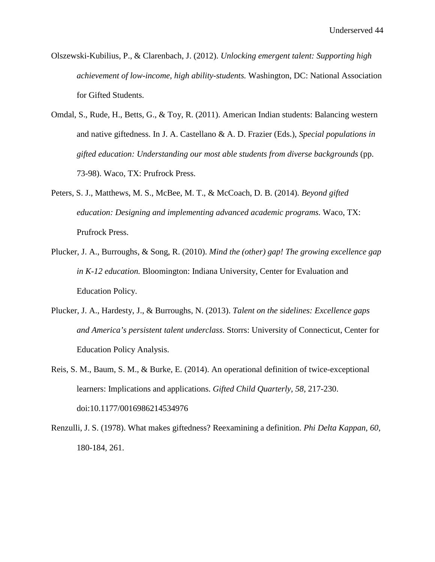- Olszewski-Kubilius, P., & Clarenbach, J. (2012). *Unlocking emergent talent: Supporting high achievement of low-income, high ability-students.* Washington, DC: National Association for Gifted Students.
- Omdal, S., Rude, H., Betts, G., & Toy, R. (2011). American Indian students: Balancing western and native giftedness. In J. A. Castellano & A. D. Frazier (Eds.), *Special populations in gifted education: Understanding our most able students from diverse backgrounds* (pp. 73-98). Waco, TX: Prufrock Press.
- Peters, S. J., Matthews, M. S., McBee, M. T., & McCoach, D. B. (2014). *Beyond gifted education: Designing and implementing advanced academic programs.* Waco, TX: Prufrock Press.
- Plucker, J. A., Burroughs, & Song, R. (2010). *Mind the (other) gap! The growing excellence gap in K-12 education.* Bloomington: Indiana University, Center for Evaluation and Education Policy.
- Plucker, J. A., Hardesty, J., & Burroughs, N. (2013). *Talent on the sidelines: Excellence gaps and America's persistent talent underclass*. Storrs: University of Connecticut, Center for Education Policy Analysis.
- Reis, S. M., Baum, S. M., & Burke, E. (2014). An operational definition of twice-exceptional learners: Implications and applications. *Gifted Child Quarterly, 58,* 217-230. doi:10.1177/0016986214534976
- Renzulli, J. S. (1978). What makes giftedness? Reexamining a definition. *Phi Delta Kappan, 60*, 180-184, 261.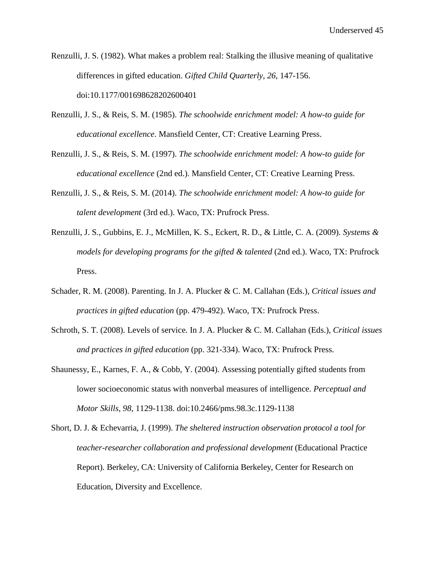- Renzulli, J. S. (1982). What makes a problem real: Stalking the illusive meaning of qualitative differences in gifted education. *Gifted Child Quarterly, 26*, 147-156. doi:10.1177/001698628202600401
- Renzulli, J. S., & Reis, S. M. (1985). *The schoolwide enrichment model: A how-to guide for educational excellence*. Mansfield Center, CT: Creative Learning Press.
- Renzulli, J. S., & Reis, S. M. (1997). *The schoolwide enrichment model: A how-to guide for educational excellence* (2nd ed.). Mansfield Center, CT: Creative Learning Press.
- Renzulli, J. S., & Reis, S. M. (2014). *The schoolwide enrichment model: A how-to guide for talent development* (3rd ed.). Waco, TX: Prufrock Press.
- Renzulli, J. S., Gubbins, E. J., McMillen, K. S., Eckert, R. D., & Little, C. A. (2009). *Systems & models for developing programs for the gifted & talented (2nd ed.).* Waco, TX: Prufrock Press.
- Schader, R. M. (2008). Parenting. In J. A. Plucker & C. M. Callahan (Eds.), *Critical issues and practices in gifted education* (pp. 479-492). Waco, TX: Prufrock Press.
- Schroth, S. T. (2008). Levels of service. In J. A. Plucker & C. M. Callahan (Eds.), *Critical issues and practices in gifted education* (pp. 321-334). Waco, TX: Prufrock Press.
- Shaunessy, E., Karnes, F. A., & Cobb, Y. (2004). Assessing potentially gifted students from lower socioeconomic status with nonverbal measures of intelligence. *Perceptual and Motor Skills, 98*, 1129-1138. doi:10.2466/pms.98.3c.1129-1138
- Short, D. J. & Echevarria, J. (1999). *The sheltered instruction observation protocol a tool for teacher-researcher collaboration and professional development* (Educational Practice Report). Berkeley, CA: University of California Berkeley, Center for Research on Education, Diversity and Excellence.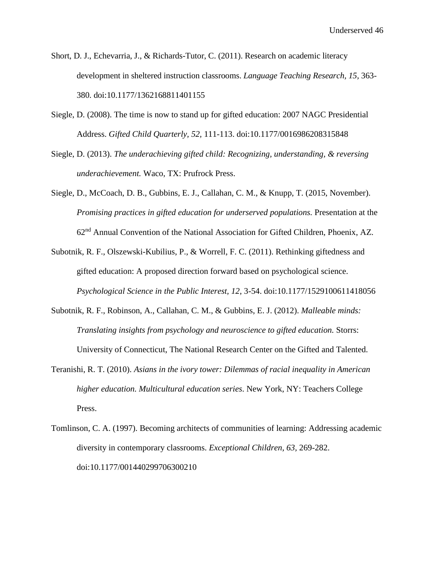- Short, D. J., Echevarria, J., & Richards-Tutor, C. (2011). Research on academic literacy development in sheltered instruction classrooms. *Language Teaching Research, 15,* 363- 380. doi:10.1177/1362168811401155
- Siegle, D. (2008). The time is now to stand up for gifted education: 2007 NAGC Presidential Address. *Gifted Child Quarterly, 52,* 111-113. doi:10.1177/0016986208315848
- Siegle, D. (2013). *The underachieving gifted child: Recognizing, understanding, & reversing underachievement.* Waco, TX: Prufrock Press.
- Siegle, D., McCoach, D. B., Gubbins, E. J., Callahan, C. M., & Knupp, T. (2015, November). *Promising practices in gifted education for underserved populations.* Presentation at the 62nd Annual Convention of the National Association for Gifted Children, Phoenix, AZ.
- Subotnik, R. F., Olszewski-Kubilius, P., & Worrell, F. C. (2011). Rethinking giftedness and gifted education: A proposed direction forward based on psychological science. *Psychological Science in the Public Interest, 12*, 3-54. doi:10.1177/1529100611418056
- Subotnik, R. F., Robinson, A., Callahan, C. M., & Gubbins, E. J. (2012). *Malleable minds: Translating insights from psychology and neuroscience to gifted education.* Storrs: University of Connecticut, The National Research Center on the Gifted and Talented.
- Teranishi, R. T. (2010). *Asians in the ivory tower: Dilemmas of racial inequality in American higher education. Multicultural education series*. New York, NY: Teachers College Press.
- Tomlinson, C. A. (1997). Becoming architects of communities of learning: Addressing academic diversity in contemporary classrooms. *Exceptional Children*, *63,* 269-282. doi:10.1177/001440299706300210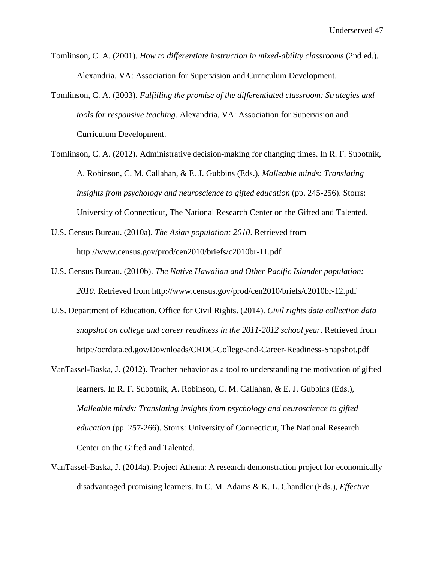- Tomlinson, C. A. (2001). *How to differentiate instruction in mixed-ability classrooms* (2nd ed.)*.*  Alexandria, VA: Association for Supervision and Curriculum Development.
- Tomlinson, C. A. (2003). *Fulfilling the promise of the differentiated classroom: Strategies and tools for responsive teaching.* Alexandria, VA: Association for Supervision and Curriculum Development.
- Tomlinson, C. A. (2012). Administrative decision-making for changing times. In R. F. Subotnik, A. Robinson, C. M. Callahan, & E. J. Gubbins (Eds.), *Malleable minds: Translating insights from psychology and neuroscience to gifted education* (pp. 245-256). Storrs: University of Connecticut, The National Research Center on the Gifted and Talented.
- U.S. Census Bureau. (2010a). *The Asian population: 2010*. Retrieved from http://www.census.gov/prod/cen2010/briefs/c2010br-11.pdf
- U.S. Census Bureau. (2010b). *The Native Hawaiian and Other Pacific Islander population: 2010*. Retrieved from http://www.census.gov/prod/cen2010/briefs/c2010br-12.pdf
- U.S. Department of Education, Office for Civil Rights. (2014). *Civil rights data collection data snapshot on college and career readiness in the 2011-2012 school year*. Retrieved from http://ocrdata.ed.gov/Downloads/CRDC-College-and-Career-Readiness-Snapshot.pdf
- VanTassel-Baska, J. (2012). Teacher behavior as a tool to understanding the motivation of gifted learners. In R. F. Subotnik, A. Robinson, C. M. Callahan, & E. J. Gubbins (Eds.), *Malleable minds: Translating insights from psychology and neuroscience to gifted education* (pp. 257-266). Storrs: University of Connecticut, The National Research Center on the Gifted and Talented.
- VanTassel-Baska, J. (2014a). Project Athena: A research demonstration project for economically disadvantaged promising learners. In C. M. Adams & K. L. Chandler (Eds.), *Effective*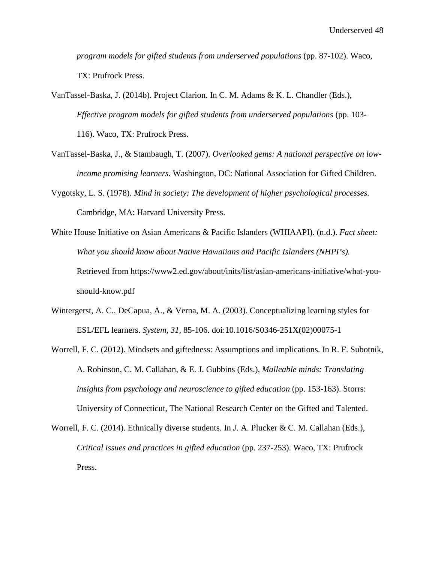*program models for gifted students from underserved populations* (pp. 87-102). Waco, TX: Prufrock Press.

VanTassel-Baska, J. (2014b). Project Clarion. In C. M. Adams & K. L. Chandler (Eds.), *Effective program models for gifted students from underserved populations* (pp. 103- 116). Waco, TX: Prufrock Press.

- VanTassel-Baska, J., & Stambaugh, T. (2007). *Overlooked gems: A national perspective on lowincome promising learners.* Washington, DC: National Association for Gifted Children.
- Vygotsky, L. S. (1978). *Mind in society: The development of higher psychological processes.*  Cambridge, MA: Harvard University Press.
- White House Initiative on Asian Americans & Pacific Islanders (WHIAAPI). (n.d.). *Fact sheet: What you should know about Native Hawaiians and Pacific Islanders (NHPI's).* Retrieved from https://www2.ed.gov/about/inits/list/asian-americans-initiative/what-youshould-know.pdf
- Wintergerst, A. C., DeCapua, A., & Verna, M. A. (2003). Conceptualizing learning styles for ESL/EFL learners. *System, 31,* 85-106. doi:10.1016/S0346-251X(02)00075-1
- Worrell, F. C. (2012). Mindsets and giftedness: Assumptions and implications. In R. F. Subotnik, A. Robinson, C. M. Callahan, & E. J. Gubbins (Eds.), *Malleable minds: Translating insights from psychology and neuroscience to gifted education* (pp. 153-163). Storrs: University of Connecticut, The National Research Center on the Gifted and Talented.
- Worrell, F. C. (2014). Ethnically diverse students. In J. A. Plucker & C. M. Callahan (Eds.), *Critical issues and practices in gifted education* (pp. 237-253). Waco, TX: Prufrock Press.